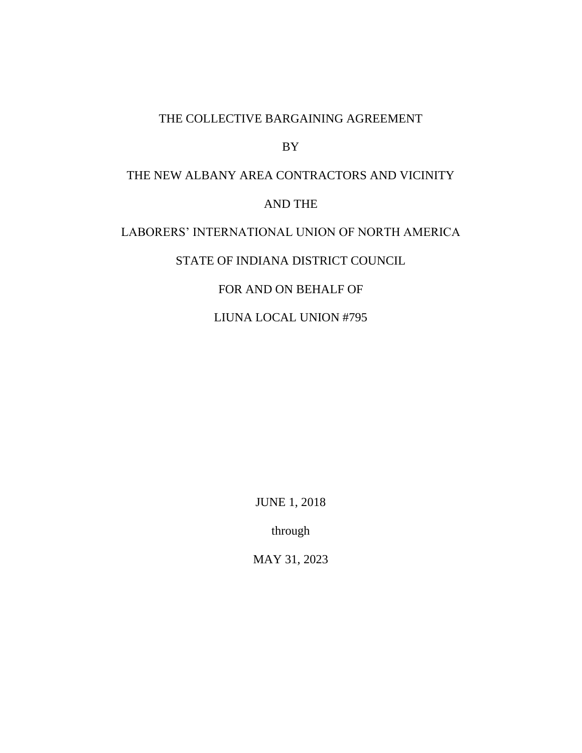#### THE COLLECTIVE BARGAINING AGREEMENT

BY

# THE NEW ALBANY AREA CONTRACTORS AND VICINITY AND THE LABORERS' INTERNATIONAL UNION OF NORTH AMERICA STATE OF INDIANA DISTRICT COUNCIL FOR AND ON BEHALF OF

LIUNA LOCAL UNION #795

JUNE 1, 2018

through

MAY 31, 2023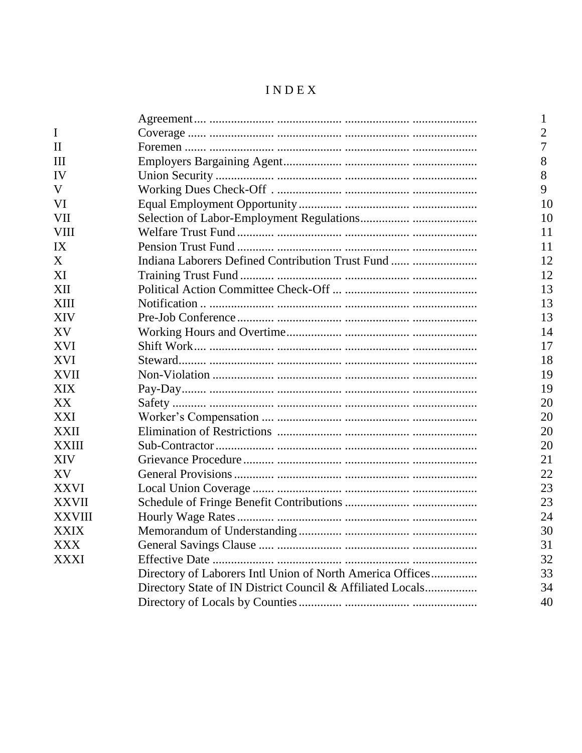# INDEX

|               |                                                            | 1              |
|---------------|------------------------------------------------------------|----------------|
| $\mathbf I$   |                                                            | $\overline{2}$ |
| $\mathbf{I}$  |                                                            | 7              |
| Ш             |                                                            | 8              |
| IV            |                                                            | 8              |
| V             |                                                            | 9              |
| VI            |                                                            | 10             |
| VII           |                                                            | 10             |
| <b>VIII</b>   |                                                            | 11             |
| IX            |                                                            | 11             |
| X             | Indiana Laborers Defined Contribution Trust Fund           | 12             |
| XI            |                                                            | 12             |
| XII           |                                                            | 13             |
| <b>XIII</b>   |                                                            | 13             |
| <b>XIV</b>    |                                                            | 13             |
| XV            |                                                            | 14             |
| XVI           |                                                            | 17             |
| <b>XVI</b>    |                                                            | 18             |
| <b>XVII</b>   |                                                            | 19             |
| XIX           |                                                            | 19             |
| XX            |                                                            | 20             |
| XXI           |                                                            | 20             |
| XXII          |                                                            | 20             |
| <b>XXIII</b>  |                                                            | 20             |
| <b>XIV</b>    |                                                            | 21             |
| XV            |                                                            | 22             |
| XXVI          |                                                            | 23             |
| <b>XXVII</b>  |                                                            | 23             |
| <b>XXVIII</b> |                                                            | 24             |
| <b>XXIX</b>   |                                                            | 30             |
| XXX           |                                                            | 31             |
| XXXI          |                                                            | 32             |
|               | Directory of Laborers Intl Union of North America Offices  | 33             |
|               | Directory State of IN District Council & Affiliated Locals | 34             |
|               |                                                            | 40             |
|               |                                                            |                |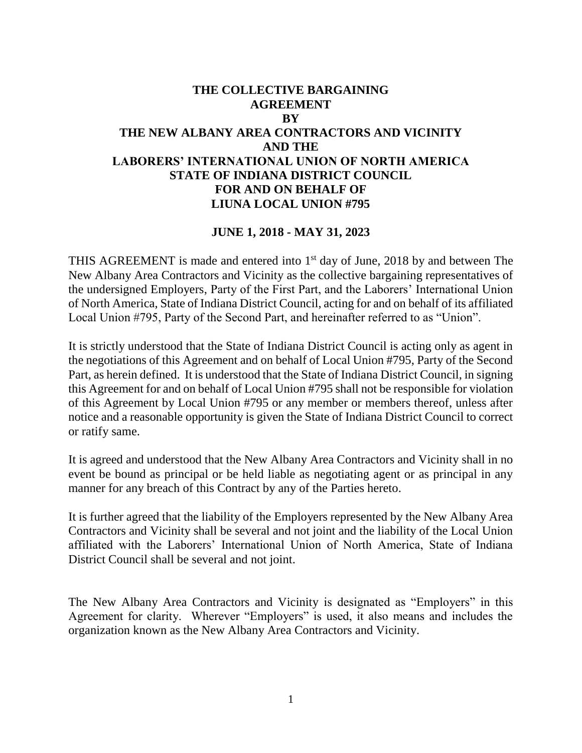# **THE COLLECTIVE BARGAINING AGREEMENT BY THE NEW ALBANY AREA CONTRACTORS AND VICINITY AND THE LABORERS' INTERNATIONAL UNION OF NORTH AMERICA STATE OF INDIANA DISTRICT COUNCIL FOR AND ON BEHALF OF LIUNA LOCAL UNION #795**

#### **JUNE 1, 2018 - MAY 31, 2023**

THIS AGREEMENT is made and entered into  $1<sup>st</sup>$  day of June, 2018 by and between The New Albany Area Contractors and Vicinity as the collective bargaining representatives of the undersigned Employers, Party of the First Part, and the Laborers' International Union of North America, State of Indiana District Council, acting for and on behalf of its affiliated Local Union #795, Party of the Second Part, and hereinafter referred to as "Union".

It is strictly understood that the State of Indiana District Council is acting only as agent in the negotiations of this Agreement and on behalf of Local Union #795, Party of the Second Part, as herein defined. It is understood that the State of Indiana District Council, in signing this Agreement for and on behalf of Local Union #795 shall not be responsible for violation of this Agreement by Local Union #795 or any member or members thereof, unless after notice and a reasonable opportunity is given the State of Indiana District Council to correct or ratify same.

It is agreed and understood that the New Albany Area Contractors and Vicinity shall in no event be bound as principal or be held liable as negotiating agent or as principal in any manner for any breach of this Contract by any of the Parties hereto.

It is further agreed that the liability of the Employers represented by the New Albany Area Contractors and Vicinity shall be several and not joint and the liability of the Local Union affiliated with the Laborers' International Union of North America, State of Indiana District Council shall be several and not joint.

The New Albany Area Contractors and Vicinity is designated as "Employers" in this Agreement for clarity. Wherever "Employers" is used, it also means and includes the organization known as the New Albany Area Contractors and Vicinity.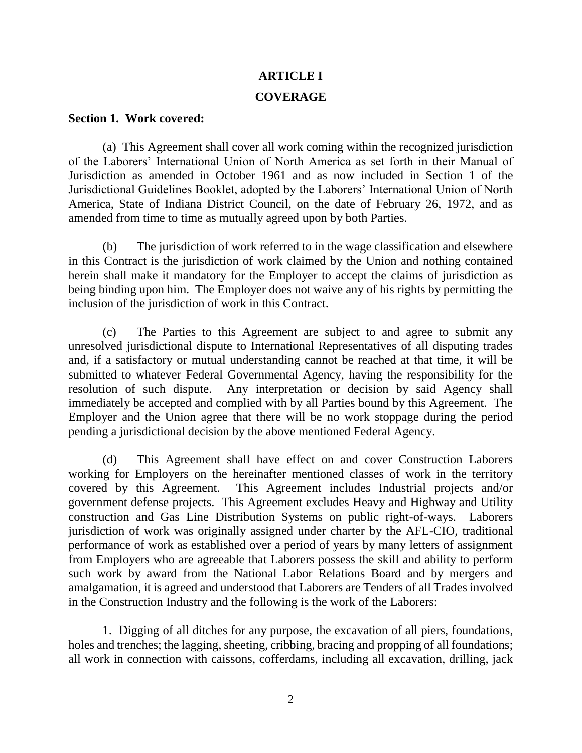# **ARTICLE I**

#### **COVERAGE**

#### **Section 1. Work covered:**

(a) This Agreement shall cover all work coming within the recognized jurisdiction of the Laborers' International Union of North America as set forth in their Manual of Jurisdiction as amended in October 1961 and as now included in Section 1 of the Jurisdictional Guidelines Booklet, adopted by the Laborers' International Union of North America, State of Indiana District Council, on the date of February 26, 1972, and as amended from time to time as mutually agreed upon by both Parties.

(b) The jurisdiction of work referred to in the wage classification and elsewhere in this Contract is the jurisdiction of work claimed by the Union and nothing contained herein shall make it mandatory for the Employer to accept the claims of jurisdiction as being binding upon him. The Employer does not waive any of his rights by permitting the inclusion of the jurisdiction of work in this Contract.

(c) The Parties to this Agreement are subject to and agree to submit any unresolved jurisdictional dispute to International Representatives of all disputing trades and, if a satisfactory or mutual understanding cannot be reached at that time, it will be submitted to whatever Federal Governmental Agency, having the responsibility for the resolution of such dispute. Any interpretation or decision by said Agency shall immediately be accepted and complied with by all Parties bound by this Agreement. The Employer and the Union agree that there will be no work stoppage during the period pending a jurisdictional decision by the above mentioned Federal Agency.

(d) This Agreement shall have effect on and cover Construction Laborers working for Employers on the hereinafter mentioned classes of work in the territory covered by this Agreement. This Agreement includes Industrial projects and/or government defense projects. This Agreement excludes Heavy and Highway and Utility construction and Gas Line Distribution Systems on public right-of-ways. Laborers jurisdiction of work was originally assigned under charter by the AFL-CIO, traditional performance of work as established over a period of years by many letters of assignment from Employers who are agreeable that Laborers possess the skill and ability to perform such work by award from the National Labor Relations Board and by mergers and amalgamation, it is agreed and understood that Laborers are Tenders of all Trades involved in the Construction Industry and the following is the work of the Laborers:

1. Digging of all ditches for any purpose, the excavation of all piers, foundations, holes and trenches; the lagging, sheeting, cribbing, bracing and propping of all foundations; all work in connection with caissons, cofferdams, including all excavation, drilling, jack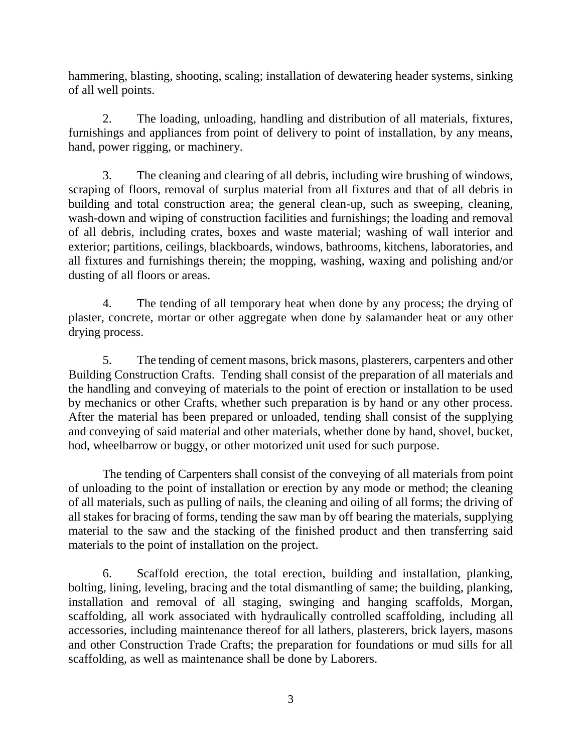hammering, blasting, shooting, scaling; installation of dewatering header systems, sinking of all well points.

2. The loading, unloading, handling and distribution of all materials, fixtures, furnishings and appliances from point of delivery to point of installation, by any means, hand, power rigging, or machinery.

3. The cleaning and clearing of all debris, including wire brushing of windows, scraping of floors, removal of surplus material from all fixtures and that of all debris in building and total construction area; the general clean-up, such as sweeping, cleaning, wash-down and wiping of construction facilities and furnishings; the loading and removal of all debris, including crates, boxes and waste material; washing of wall interior and exterior; partitions, ceilings, blackboards, windows, bathrooms, kitchens, laboratories, and all fixtures and furnishings therein; the mopping, washing, waxing and polishing and/or dusting of all floors or areas.

4. The tending of all temporary heat when done by any process; the drying of plaster, concrete, mortar or other aggregate when done by salamander heat or any other drying process.

5. The tending of cement masons, brick masons, plasterers, carpenters and other Building Construction Crafts. Tending shall consist of the preparation of all materials and the handling and conveying of materials to the point of erection or installation to be used by mechanics or other Crafts, whether such preparation is by hand or any other process. After the material has been prepared or unloaded, tending shall consist of the supplying and conveying of said material and other materials, whether done by hand, shovel, bucket, hod, wheelbarrow or buggy, or other motorized unit used for such purpose.

The tending of Carpenters shall consist of the conveying of all materials from point of unloading to the point of installation or erection by any mode or method; the cleaning of all materials, such as pulling of nails, the cleaning and oiling of all forms; the driving of all stakes for bracing of forms, tending the saw man by off bearing the materials, supplying material to the saw and the stacking of the finished product and then transferring said materials to the point of installation on the project.

6. Scaffold erection, the total erection, building and installation, planking, bolting, lining, leveling, bracing and the total dismantling of same; the building, planking, installation and removal of all staging, swinging and hanging scaffolds, Morgan, scaffolding, all work associated with hydraulically controlled scaffolding, including all accessories, including maintenance thereof for all lathers, plasterers, brick layers, masons and other Construction Trade Crafts; the preparation for foundations or mud sills for all scaffolding, as well as maintenance shall be done by Laborers.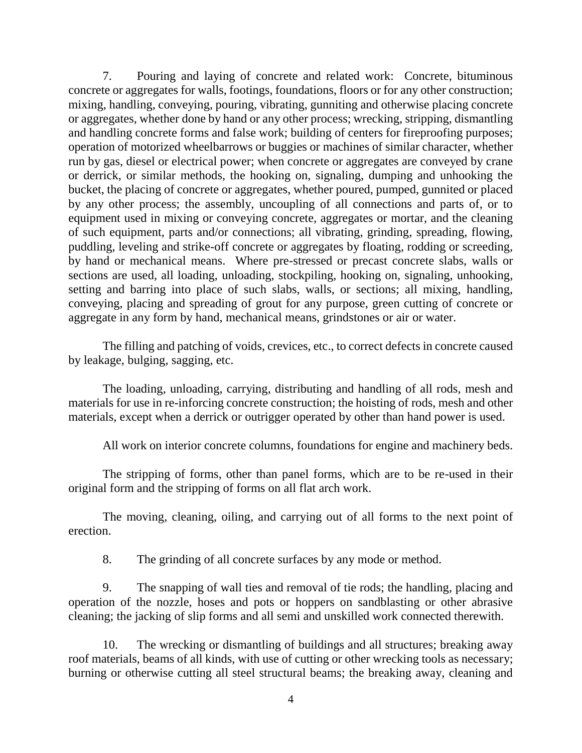7. Pouring and laying of concrete and related work: Concrete, bituminous concrete or aggregates for walls, footings, foundations, floors or for any other construction; mixing, handling, conveying, pouring, vibrating, gunniting and otherwise placing concrete or aggregates, whether done by hand or any other process; wrecking, stripping, dismantling and handling concrete forms and false work; building of centers for fireproofing purposes; operation of motorized wheelbarrows or buggies or machines of similar character, whether run by gas, diesel or electrical power; when concrete or aggregates are conveyed by crane or derrick, or similar methods, the hooking on, signaling, dumping and unhooking the bucket, the placing of concrete or aggregates, whether poured, pumped, gunnited or placed by any other process; the assembly, uncoupling of all connections and parts of, or to equipment used in mixing or conveying concrete, aggregates or mortar, and the cleaning of such equipment, parts and/or connections; all vibrating, grinding, spreading, flowing, puddling, leveling and strike-off concrete or aggregates by floating, rodding or screeding, by hand or mechanical means. Where pre-stressed or precast concrete slabs, walls or sections are used, all loading, unloading, stockpiling, hooking on, signaling, unhooking, setting and barring into place of such slabs, walls, or sections; all mixing, handling, conveying, placing and spreading of grout for any purpose, green cutting of concrete or aggregate in any form by hand, mechanical means, grindstones or air or water.

The filling and patching of voids, crevices, etc., to correct defects in concrete caused by leakage, bulging, sagging, etc.

The loading, unloading, carrying, distributing and handling of all rods, mesh and materials for use in re-inforcing concrete construction; the hoisting of rods, mesh and other materials, except when a derrick or outrigger operated by other than hand power is used.

All work on interior concrete columns, foundations for engine and machinery beds.

The stripping of forms, other than panel forms, which are to be re-used in their original form and the stripping of forms on all flat arch work.

The moving, cleaning, oiling, and carrying out of all forms to the next point of erection.

8. The grinding of all concrete surfaces by any mode or method.

9. The snapping of wall ties and removal of tie rods; the handling, placing and operation of the nozzle, hoses and pots or hoppers on sandblasting or other abrasive cleaning; the jacking of slip forms and all semi and unskilled work connected therewith.

10. The wrecking or dismantling of buildings and all structures; breaking away roof materials, beams of all kinds, with use of cutting or other wrecking tools as necessary; burning or otherwise cutting all steel structural beams; the breaking away, cleaning and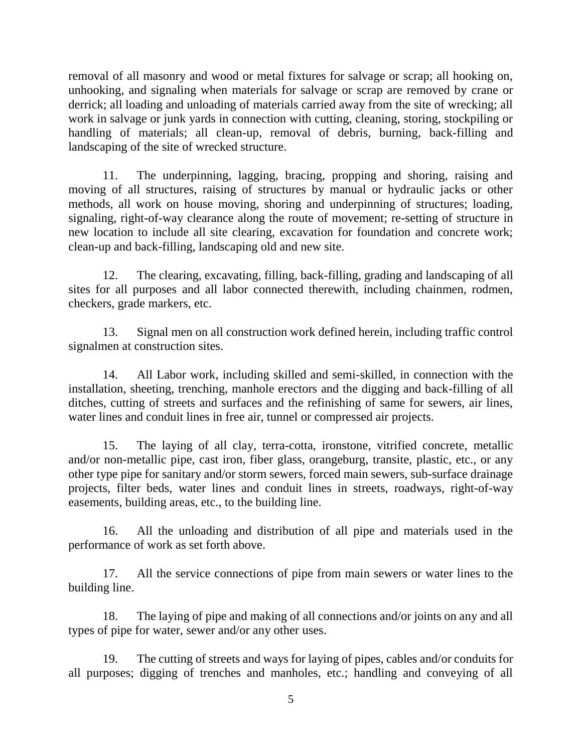removal of all masonry and wood or metal fixtures for salvage or scrap; all hooking on, unhooking, and signaling when materials for salvage or scrap are removed by crane or derrick; all loading and unloading of materials carried away from the site of wrecking; all work in salvage or junk yards in connection with cutting, cleaning, storing, stockpiling or handling of materials; all clean-up, removal of debris, burning, back-filling and landscaping of the site of wrecked structure.

11. The underpinning, lagging, bracing, propping and shoring, raising and moving of all structures, raising of structures by manual or hydraulic jacks or other methods, all work on house moving, shoring and underpinning of structures; loading, signaling, right-of-way clearance along the route of movement; re-setting of structure in new location to include all site clearing, excavation for foundation and concrete work; clean-up and back-filling, landscaping old and new site.

12. The clearing, excavating, filling, back-filling, grading and landscaping of all sites for all purposes and all labor connected therewith, including chainmen, rodmen, checkers, grade markers, etc.

13. Signal men on all construction work defined herein, including traffic control signalmen at construction sites.

14. All Labor work, including skilled and semi-skilled, in connection with the installation, sheeting, trenching, manhole erectors and the digging and back-filling of all ditches, cutting of streets and surfaces and the refinishing of same for sewers, air lines, water lines and conduit lines in free air, tunnel or compressed air projects.

15. The laying of all clay, terra-cotta, ironstone, vitrified concrete, metallic and/or non-metallic pipe, cast iron, fiber glass, orangeburg, transite, plastic, etc., or any other type pipe for sanitary and/or storm sewers, forced main sewers, sub-surface drainage projects, filter beds, water lines and conduit lines in streets, roadways, right-of-way easements, building areas, etc., to the building line.

16. All the unloading and distribution of all pipe and materials used in the performance of work as set forth above.

17. All the service connections of pipe from main sewers or water lines to the building line.

18. The laying of pipe and making of all connections and/or joints on any and all types of pipe for water, sewer and/or any other uses.

19. The cutting of streets and ways for laying of pipes, cables and/or conduits for all purposes; digging of trenches and manholes, etc.; handling and conveying of all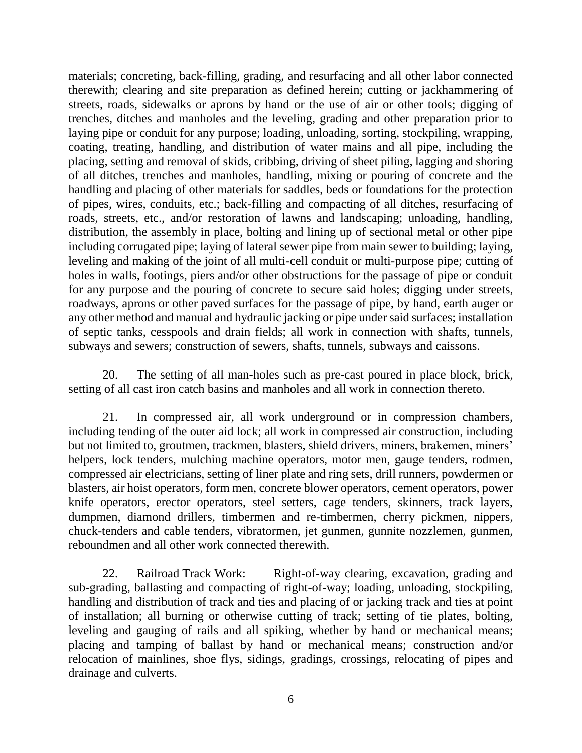materials; concreting, back-filling, grading, and resurfacing and all other labor connected therewith; clearing and site preparation as defined herein; cutting or jackhammering of streets, roads, sidewalks or aprons by hand or the use of air or other tools; digging of trenches, ditches and manholes and the leveling, grading and other preparation prior to laying pipe or conduit for any purpose; loading, unloading, sorting, stockpiling, wrapping, coating, treating, handling, and distribution of water mains and all pipe, including the placing, setting and removal of skids, cribbing, driving of sheet piling, lagging and shoring of all ditches, trenches and manholes, handling, mixing or pouring of concrete and the handling and placing of other materials for saddles, beds or foundations for the protection of pipes, wires, conduits, etc.; back-filling and compacting of all ditches, resurfacing of roads, streets, etc., and/or restoration of lawns and landscaping; unloading, handling, distribution, the assembly in place, bolting and lining up of sectional metal or other pipe including corrugated pipe; laying of lateral sewer pipe from main sewer to building; laying, leveling and making of the joint of all multi-cell conduit or multi-purpose pipe; cutting of holes in walls, footings, piers and/or other obstructions for the passage of pipe or conduit for any purpose and the pouring of concrete to secure said holes; digging under streets, roadways, aprons or other paved surfaces for the passage of pipe, by hand, earth auger or any other method and manual and hydraulic jacking or pipe under said surfaces; installation of septic tanks, cesspools and drain fields; all work in connection with shafts, tunnels, subways and sewers; construction of sewers, shafts, tunnels, subways and caissons.

20. The setting of all man-holes such as pre-cast poured in place block, brick, setting of all cast iron catch basins and manholes and all work in connection thereto.

21. In compressed air, all work underground or in compression chambers, including tending of the outer aid lock; all work in compressed air construction, including but not limited to, groutmen, trackmen, blasters, shield drivers, miners, brakemen, miners' helpers, lock tenders, mulching machine operators, motor men, gauge tenders, rodmen, compressed air electricians, setting of liner plate and ring sets, drill runners, powdermen or blasters, air hoist operators, form men, concrete blower operators, cement operators, power knife operators, erector operators, steel setters, cage tenders, skinners, track layers, dumpmen, diamond drillers, timbermen and re-timbermen, cherry pickmen, nippers, chuck-tenders and cable tenders, vibratormen, jet gunmen, gunnite nozzlemen, gunmen, reboundmen and all other work connected therewith.

22. Railroad Track Work: Right-of-way clearing, excavation, grading and sub-grading, ballasting and compacting of right-of-way; loading, unloading, stockpiling, handling and distribution of track and ties and placing of or jacking track and ties at point of installation; all burning or otherwise cutting of track; setting of tie plates, bolting, leveling and gauging of rails and all spiking, whether by hand or mechanical means; placing and tamping of ballast by hand or mechanical means; construction and/or relocation of mainlines, shoe flys, sidings, gradings, crossings, relocating of pipes and drainage and culverts.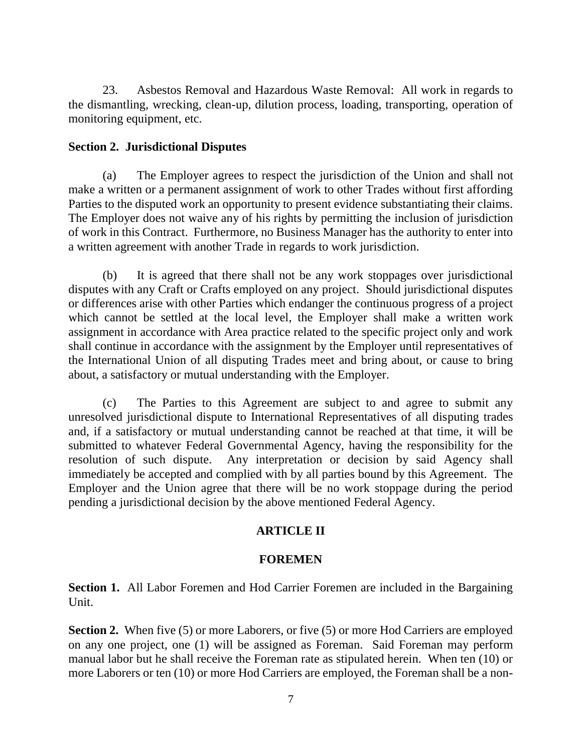23. Asbestos Removal and Hazardous Waste Removal: All work in regards to the dismantling, wrecking, clean-up, dilution process, loading, transporting, operation of monitoring equipment, etc.

# **Section 2. Jurisdictional Disputes**

(a) The Employer agrees to respect the jurisdiction of the Union and shall not make a written or a permanent assignment of work to other Trades without first affording Parties to the disputed work an opportunity to present evidence substantiating their claims. The Employer does not waive any of his rights by permitting the inclusion of jurisdiction of work in this Contract. Furthermore, no Business Manager has the authority to enter into a written agreement with another Trade in regards to work jurisdiction.

(b) It is agreed that there shall not be any work stoppages over jurisdictional disputes with any Craft or Crafts employed on any project. Should jurisdictional disputes or differences arise with other Parties which endanger the continuous progress of a project which cannot be settled at the local level, the Employer shall make a written work assignment in accordance with Area practice related to the specific project only and work shall continue in accordance with the assignment by the Employer until representatives of the International Union of all disputing Trades meet and bring about, or cause to bring about, a satisfactory or mutual understanding with the Employer.

(c) The Parties to this Agreement are subject to and agree to submit any unresolved jurisdictional dispute to International Representatives of all disputing trades and, if a satisfactory or mutual understanding cannot be reached at that time, it will be submitted to whatever Federal Governmental Agency, having the responsibility for the resolution of such dispute. Any interpretation or decision by said Agency shall immediately be accepted and complied with by all parties bound by this Agreement. The Employer and the Union agree that there will be no work stoppage during the period pending a jurisdictional decision by the above mentioned Federal Agency.

# **ARTICLE II**

# **FOREMEN**

**Section 1.** All Labor Foremen and Hod Carrier Foremen are included in the Bargaining Unit.

**Section 2.** When five (5) or more Laborers, or five (5) or more Hod Carriers are employed on any one project, one (1) will be assigned as Foreman. Said Foreman may perform manual labor but he shall receive the Foreman rate as stipulated herein. When ten (10) or more Laborers or ten (10) or more Hod Carriers are employed, the Foreman shall be a non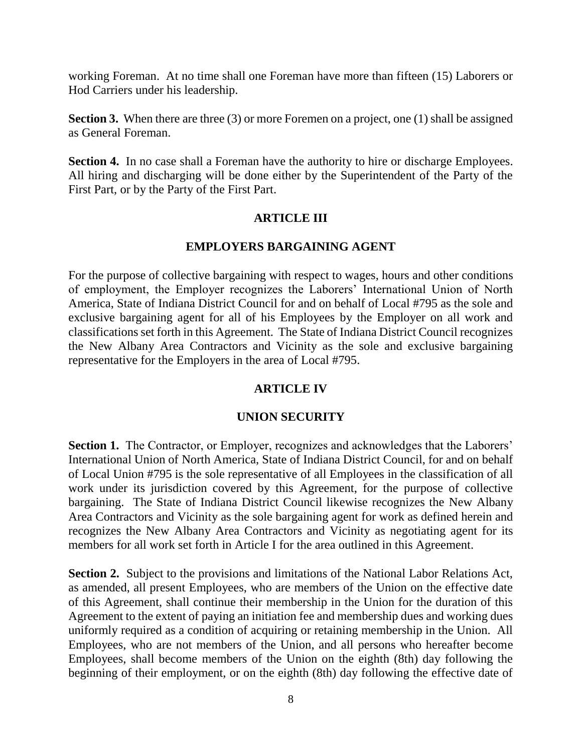working Foreman. At no time shall one Foreman have more than fifteen (15) Laborers or Hod Carriers under his leadership.

**Section 3.** When there are three (3) or more Foremen on a project, one (1) shall be assigned as General Foreman.

**Section 4.** In no case shall a Foreman have the authority to hire or discharge Employees. All hiring and discharging will be done either by the Superintendent of the Party of the First Part, or by the Party of the First Part.

# **ARTICLE III**

# **EMPLOYERS BARGAINING AGENT**

For the purpose of collective bargaining with respect to wages, hours and other conditions of employment, the Employer recognizes the Laborers' International Union of North America, State of Indiana District Council for and on behalf of Local #795 as the sole and exclusive bargaining agent for all of his Employees by the Employer on all work and classifications set forth in this Agreement. The State of Indiana District Council recognizes the New Albany Area Contractors and Vicinity as the sole and exclusive bargaining representative for the Employers in the area of Local #795.

# **ARTICLE IV**

# **UNION SECURITY**

**Section 1.** The Contractor, or Employer, recognizes and acknowledges that the Laborers' International Union of North America, State of Indiana District Council, for and on behalf of Local Union #795 is the sole representative of all Employees in the classification of all work under its jurisdiction covered by this Agreement, for the purpose of collective bargaining. The State of Indiana District Council likewise recognizes the New Albany Area Contractors and Vicinity as the sole bargaining agent for work as defined herein and recognizes the New Albany Area Contractors and Vicinity as negotiating agent for its members for all work set forth in Article I for the area outlined in this Agreement.

**Section 2.** Subject to the provisions and limitations of the National Labor Relations Act, as amended, all present Employees, who are members of the Union on the effective date of this Agreement, shall continue their membership in the Union for the duration of this Agreement to the extent of paying an initiation fee and membership dues and working dues uniformly required as a condition of acquiring or retaining membership in the Union. All Employees, who are not members of the Union, and all persons who hereafter become Employees, shall become members of the Union on the eighth (8th) day following the beginning of their employment, or on the eighth (8th) day following the effective date of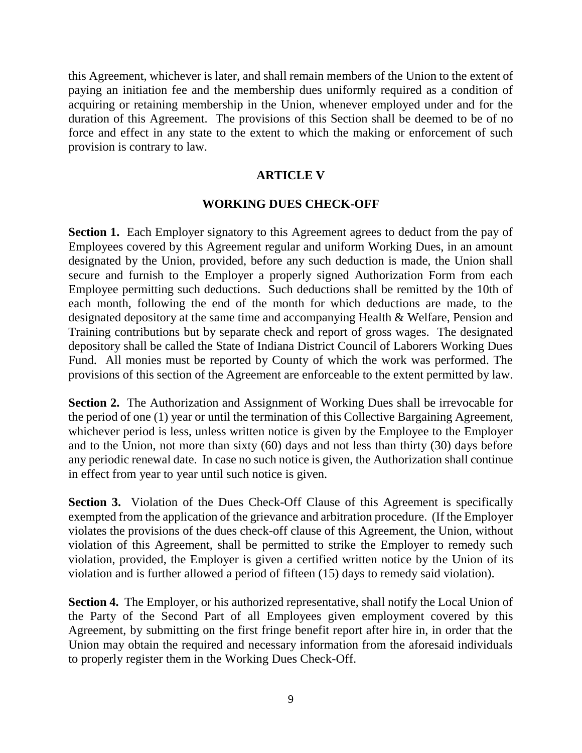this Agreement, whichever is later, and shall remain members of the Union to the extent of paying an initiation fee and the membership dues uniformly required as a condition of acquiring or retaining membership in the Union, whenever employed under and for the duration of this Agreement. The provisions of this Section shall be deemed to be of no force and effect in any state to the extent to which the making or enforcement of such provision is contrary to law.

# **ARTICLE V**

# **WORKING DUES CHECK-OFF**

**Section 1.** Each Employer signatory to this Agreement agrees to deduct from the pay of Employees covered by this Agreement regular and uniform Working Dues, in an amount designated by the Union, provided, before any such deduction is made, the Union shall secure and furnish to the Employer a properly signed Authorization Form from each Employee permitting such deductions. Such deductions shall be remitted by the 10th of each month, following the end of the month for which deductions are made, to the designated depository at the same time and accompanying Health & Welfare, Pension and Training contributions but by separate check and report of gross wages. The designated depository shall be called the State of Indiana District Council of Laborers Working Dues Fund. All monies must be reported by County of which the work was performed. The provisions of this section of the Agreement are enforceable to the extent permitted by law.

**Section 2.** The Authorization and Assignment of Working Dues shall be irrevocable for the period of one (1) year or until the termination of this Collective Bargaining Agreement, whichever period is less, unless written notice is given by the Employee to the Employer and to the Union, not more than sixty (60) days and not less than thirty (30) days before any periodic renewal date. In case no such notice is given, the Authorization shall continue in effect from year to year until such notice is given.

**Section 3.** Violation of the Dues Check-Off Clause of this Agreement is specifically exempted from the application of the grievance and arbitration procedure. (If the Employer violates the provisions of the dues check-off clause of this Agreement, the Union, without violation of this Agreement, shall be permitted to strike the Employer to remedy such violation, provided, the Employer is given a certified written notice by the Union of its violation and is further allowed a period of fifteen (15) days to remedy said violation).

**Section 4.** The Employer, or his authorized representative, shall notify the Local Union of the Party of the Second Part of all Employees given employment covered by this Agreement, by submitting on the first fringe benefit report after hire in, in order that the Union may obtain the required and necessary information from the aforesaid individuals to properly register them in the Working Dues Check-Off.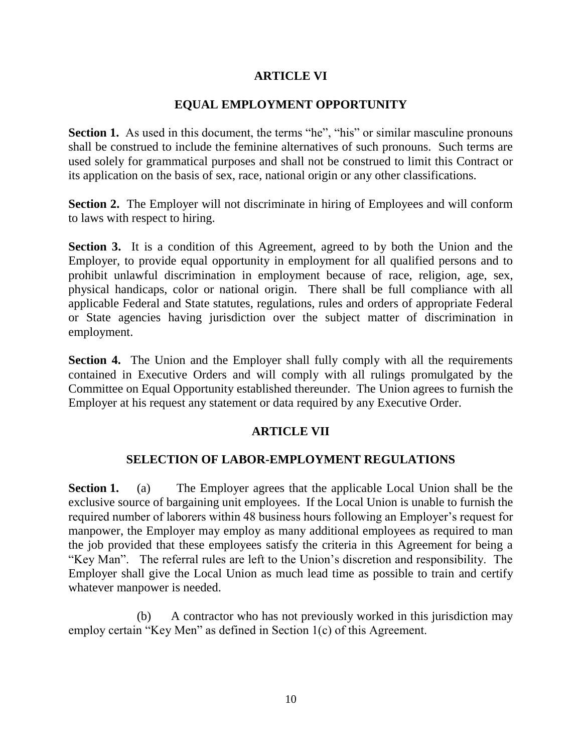# **ARTICLE VI**

# **EQUAL EMPLOYMENT OPPORTUNITY**

**Section 1.** As used in this document, the terms "he", "his" or similar masculine pronouns shall be construed to include the feminine alternatives of such pronouns. Such terms are used solely for grammatical purposes and shall not be construed to limit this Contract or its application on the basis of sex, race, national origin or any other classifications.

**Section 2.** The Employer will not discriminate in hiring of Employees and will conform to laws with respect to hiring.

**Section 3.** It is a condition of this Agreement, agreed to by both the Union and the Employer, to provide equal opportunity in employment for all qualified persons and to prohibit unlawful discrimination in employment because of race, religion, age, sex, physical handicaps, color or national origin. There shall be full compliance with all applicable Federal and State statutes, regulations, rules and orders of appropriate Federal or State agencies having jurisdiction over the subject matter of discrimination in employment.

**Section 4.** The Union and the Employer shall fully comply with all the requirements contained in Executive Orders and will comply with all rulings promulgated by the Committee on Equal Opportunity established thereunder. The Union agrees to furnish the Employer at his request any statement or data required by any Executive Order.

# **ARTICLE VII**

# **SELECTION OF LABOR-EMPLOYMENT REGULATIONS**

**Section 1.** (a) The Employer agrees that the applicable Local Union shall be the exclusive source of bargaining unit employees. If the Local Union is unable to furnish the required number of laborers within 48 business hours following an Employer's request for manpower, the Employer may employ as many additional employees as required to man the job provided that these employees satisfy the criteria in this Agreement for being a "Key Man". The referral rules are left to the Union's discretion and responsibility. The Employer shall give the Local Union as much lead time as possible to train and certify whatever manpower is needed.

(b) A contractor who has not previously worked in this jurisdiction may employ certain "Key Men" as defined in Section 1(c) of this Agreement.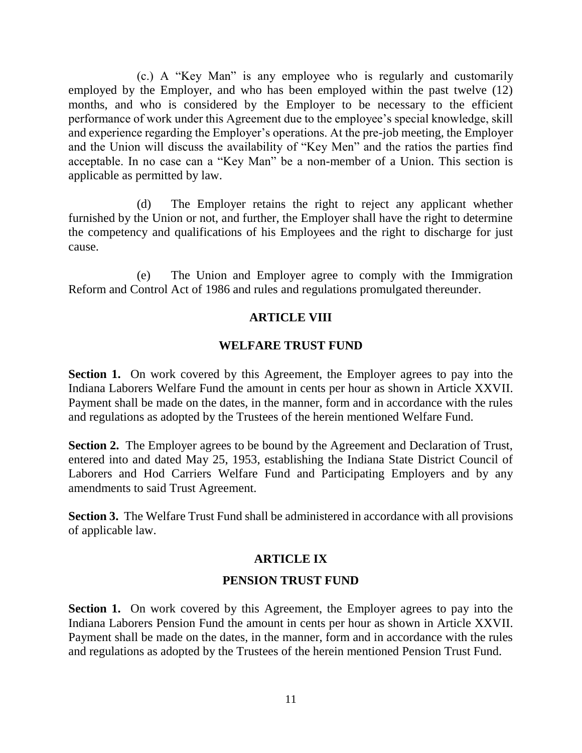(c.) A "Key Man" is any employee who is regularly and customarily employed by the Employer, and who has been employed within the past twelve (12) months, and who is considered by the Employer to be necessary to the efficient performance of work under this Agreement due to the employee's special knowledge, skill and experience regarding the Employer's operations. At the pre-job meeting, the Employer and the Union will discuss the availability of "Key Men" and the ratios the parties find acceptable. In no case can a "Key Man" be a non-member of a Union. This section is applicable as permitted by law.

(d) The Employer retains the right to reject any applicant whether furnished by the Union or not, and further, the Employer shall have the right to determine the competency and qualifications of his Employees and the right to discharge for just cause.

(e) The Union and Employer agree to comply with the Immigration Reform and Control Act of 1986 and rules and regulations promulgated thereunder.

# **ARTICLE VIII**

#### **WELFARE TRUST FUND**

**Section 1.** On work covered by this Agreement, the Employer agrees to pay into the Indiana Laborers Welfare Fund the amount in cents per hour as shown in Article XXVII. Payment shall be made on the dates, in the manner, form and in accordance with the rules and regulations as adopted by the Trustees of the herein mentioned Welfare Fund.

**Section 2.** The Employer agrees to be bound by the Agreement and Declaration of Trust, entered into and dated May 25, 1953, establishing the Indiana State District Council of Laborers and Hod Carriers Welfare Fund and Participating Employers and by any amendments to said Trust Agreement.

**Section 3.** The Welfare Trust Fund shall be administered in accordance with all provisions of applicable law.

# **ARTICLE IX**

# **PENSION TRUST FUND**

**Section 1.** On work covered by this Agreement, the Employer agrees to pay into the Indiana Laborers Pension Fund the amount in cents per hour as shown in Article XXVII. Payment shall be made on the dates, in the manner, form and in accordance with the rules and regulations as adopted by the Trustees of the herein mentioned Pension Trust Fund.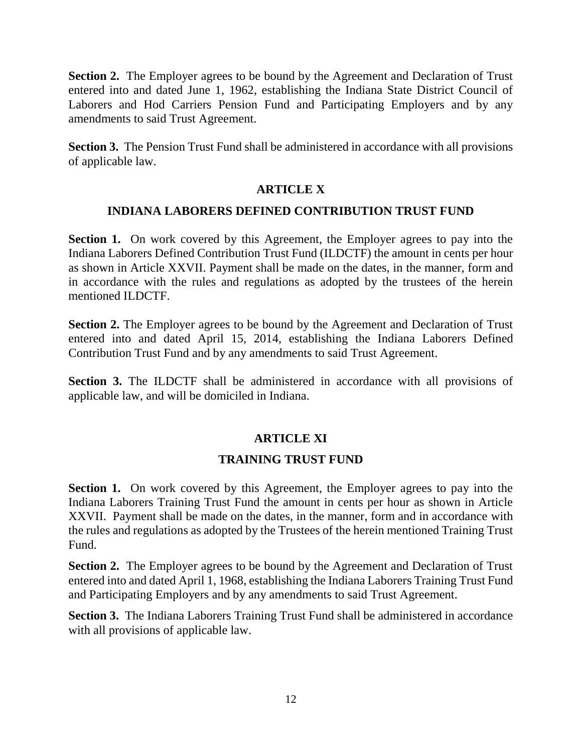**Section 2.** The Employer agrees to be bound by the Agreement and Declaration of Trust entered into and dated June 1, 1962, establishing the Indiana State District Council of Laborers and Hod Carriers Pension Fund and Participating Employers and by any amendments to said Trust Agreement.

**Section 3.** The Pension Trust Fund shall be administered in accordance with all provisions of applicable law.

# **ARTICLE X**

# **INDIANA LABORERS DEFINED CONTRIBUTION TRUST FUND**

**Section 1.** On work covered by this Agreement, the Employer agrees to pay into the Indiana Laborers Defined Contribution Trust Fund (ILDCTF) the amount in cents per hour as shown in Article XXVII. Payment shall be made on the dates, in the manner, form and in accordance with the rules and regulations as adopted by the trustees of the herein mentioned ILDCTF.

**Section 2.** The Employer agrees to be bound by the Agreement and Declaration of Trust entered into and dated April 15, 2014, establishing the Indiana Laborers Defined Contribution Trust Fund and by any amendments to said Trust Agreement.

**Section 3.** The ILDCTF shall be administered in accordance with all provisions of applicable law, and will be domiciled in Indiana.

# **ARTICLE XI**

# **TRAINING TRUST FUND**

**Section 1.** On work covered by this Agreement, the Employer agrees to pay into the Indiana Laborers Training Trust Fund the amount in cents per hour as shown in Article XXVII. Payment shall be made on the dates, in the manner, form and in accordance with the rules and regulations as adopted by the Trustees of the herein mentioned Training Trust Fund.

**Section 2.** The Employer agrees to be bound by the Agreement and Declaration of Trust entered into and dated April 1, 1968, establishing the Indiana Laborers Training Trust Fund and Participating Employers and by any amendments to said Trust Agreement.

**Section 3.** The Indiana Laborers Training Trust Fund shall be administered in accordance with all provisions of applicable law.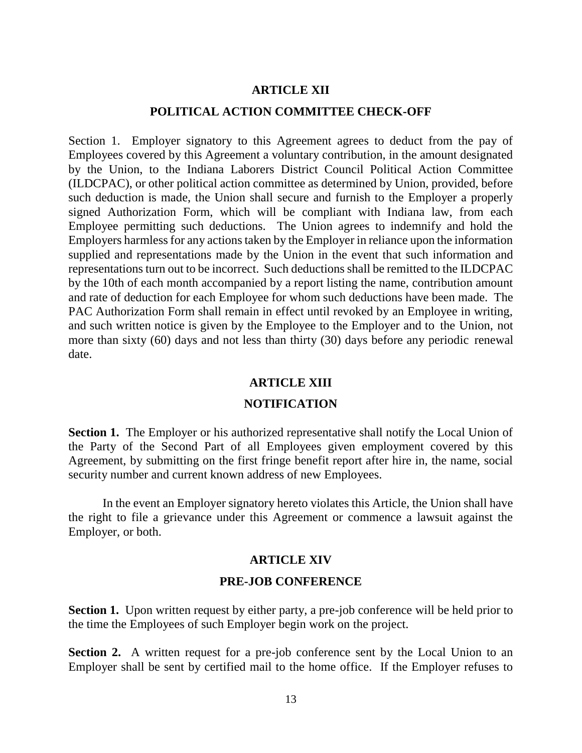#### **ARTICLE XII**

# **POLITICAL ACTION COMMITTEE CHECK-OFF**

Section 1. Employer signatory to this Agreement agrees to deduct from the pay of Employees covered by this Agreement a voluntary contribution, in the amount designated by the Union, to the Indiana Laborers District Council Political Action Committee (ILDCPAC), or other political action committee as determined by Union, provided, before such deduction is made, the Union shall secure and furnish to the Employer a properly signed Authorization Form, which will be compliant with Indiana law, from each Employee permitting such deductions. The Union agrees to indemnify and hold the Employers harmless for any actions taken by the Employer in reliance upon the information supplied and representations made by the Union in the event that such information and representations turn out to be incorrect. Such deductions shall be remitted to the ILDCPAC by the 10th of each month accompanied by a report listing the name, contribution amount and rate of deduction for each Employee for whom such deductions have been made. The PAC Authorization Form shall remain in effect until revoked by an Employee in writing, and such written notice is given by the Employee to the Employer and to the Union, not more than sixty (60) days and not less than thirty (30) days before any periodic renewal date.

#### **ARTICLE XIII**

#### **NOTIFICATION**

**Section 1.** The Employer or his authorized representative shall notify the Local Union of the Party of the Second Part of all Employees given employment covered by this Agreement, by submitting on the first fringe benefit report after hire in, the name, social security number and current known address of new Employees.

In the event an Employer signatory hereto violates this Article, the Union shall have the right to file a grievance under this Agreement or commence a lawsuit against the Employer, or both.

#### **ARTICLE XIV**

#### **PRE-JOB CONFERENCE**

**Section 1.** Upon written request by either party, a pre-job conference will be held prior to the time the Employees of such Employer begin work on the project.

**Section 2.** A written request for a pre-job conference sent by the Local Union to an Employer shall be sent by certified mail to the home office. If the Employer refuses to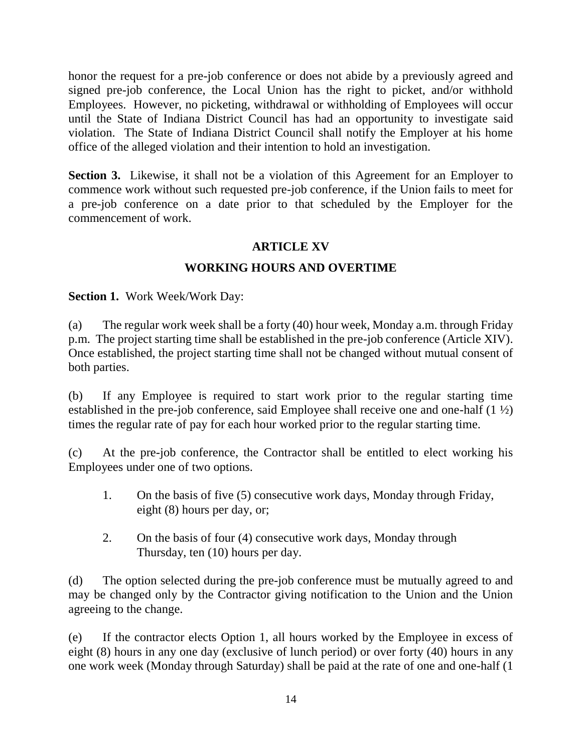honor the request for a pre-job conference or does not abide by a previously agreed and signed pre-job conference, the Local Union has the right to picket, and/or withhold Employees. However, no picketing, withdrawal or withholding of Employees will occur until the State of Indiana District Council has had an opportunity to investigate said violation. The State of Indiana District Council shall notify the Employer at his home office of the alleged violation and their intention to hold an investigation.

**Section 3.** Likewise, it shall not be a violation of this Agreement for an Employer to commence work without such requested pre-job conference, if the Union fails to meet for a pre-job conference on a date prior to that scheduled by the Employer for the commencement of work.

# **ARTICLE XV**

# **WORKING HOURS AND OVERTIME**

**Section 1.** Work Week/Work Day:

(a) The regular work week shall be a forty (40) hour week, Monday a.m. through Friday p.m. The project starting time shall be established in the pre-job conference (Article XIV). Once established, the project starting time shall not be changed without mutual consent of both parties.

(b) If any Employee is required to start work prior to the regular starting time established in the pre-job conference, said Employee shall receive one and one-half  $(1 \frac{1}{2})$ times the regular rate of pay for each hour worked prior to the regular starting time.

(c) At the pre-job conference, the Contractor shall be entitled to elect working his Employees under one of two options.

- 1. On the basis of five (5) consecutive work days, Monday through Friday, eight (8) hours per day, or;
- 2. On the basis of four (4) consecutive work days, Monday through Thursday, ten (10) hours per day.

(d) The option selected during the pre-job conference must be mutually agreed to and may be changed only by the Contractor giving notification to the Union and the Union agreeing to the change.

(e) If the contractor elects Option 1, all hours worked by the Employee in excess of eight (8) hours in any one day (exclusive of lunch period) or over forty (40) hours in any one work week (Monday through Saturday) shall be paid at the rate of one and one-half (1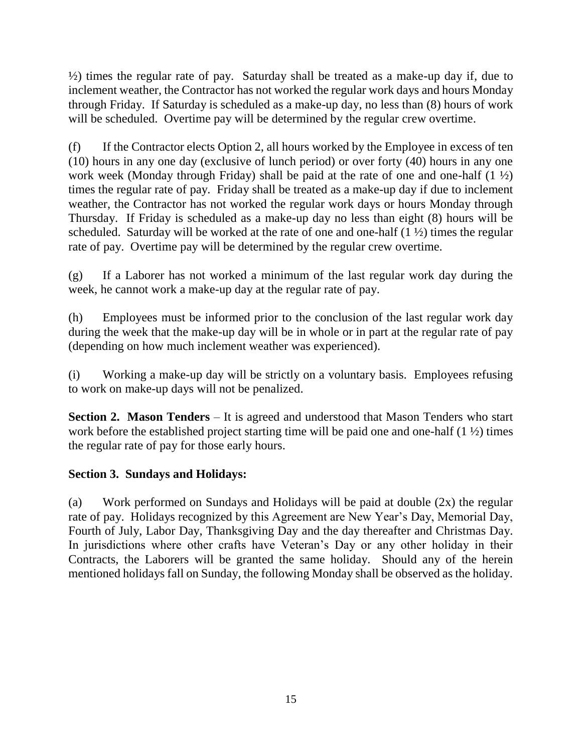½) times the regular rate of pay. Saturday shall be treated as a make-up day if, due to inclement weather, the Contractor has not worked the regular work days and hours Monday through Friday. If Saturday is scheduled as a make-up day, no less than (8) hours of work will be scheduled. Overtime pay will be determined by the regular crew overtime.

(f) If the Contractor elects Option 2, all hours worked by the Employee in excess of ten (10) hours in any one day (exclusive of lunch period) or over forty (40) hours in any one work week (Monday through Friday) shall be paid at the rate of one and one-half (1 ½) times the regular rate of pay. Friday shall be treated as a make-up day if due to inclement weather, the Contractor has not worked the regular work days or hours Monday through Thursday. If Friday is scheduled as a make-up day no less than eight (8) hours will be scheduled. Saturday will be worked at the rate of one and one-half  $(1 \frac{1}{2})$  times the regular rate of pay. Overtime pay will be determined by the regular crew overtime.

(g) If a Laborer has not worked a minimum of the last regular work day during the week, he cannot work a make-up day at the regular rate of pay.

(h) Employees must be informed prior to the conclusion of the last regular work day during the week that the make-up day will be in whole or in part at the regular rate of pay (depending on how much inclement weather was experienced).

(i) Working a make-up day will be strictly on a voluntary basis. Employees refusing to work on make-up days will not be penalized.

**Section 2. Mason Tenders** – It is agreed and understood that Mason Tenders who start work before the established project starting time will be paid one and one-half (1 ½) times the regular rate of pay for those early hours.

# **Section 3. Sundays and Holidays:**

(a) Work performed on Sundays and Holidays will be paid at double (2x) the regular rate of pay. Holidays recognized by this Agreement are New Year's Day, Memorial Day, Fourth of July, Labor Day, Thanksgiving Day and the day thereafter and Christmas Day. In jurisdictions where other crafts have Veteran's Day or any other holiday in their Contracts, the Laborers will be granted the same holiday. Should any of the herein mentioned holidays fall on Sunday, the following Monday shall be observed as the holiday.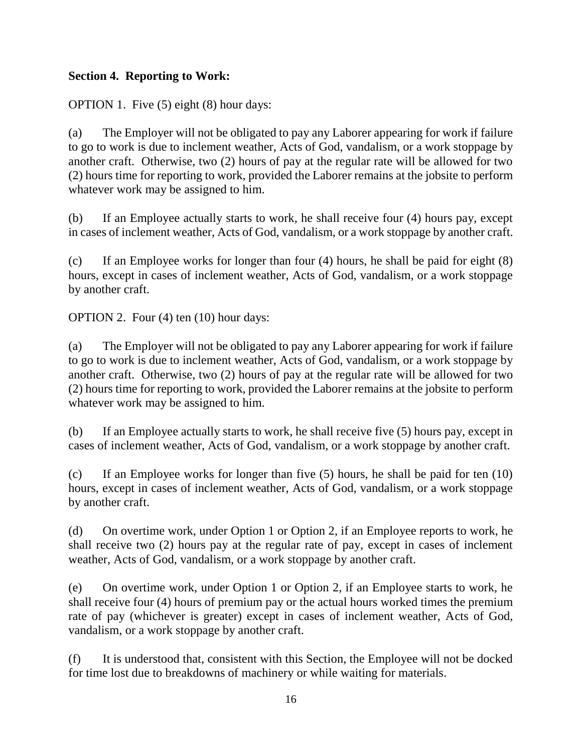# **Section 4. Reporting to Work:**

OPTION 1. Five (5) eight (8) hour days:

(a) The Employer will not be obligated to pay any Laborer appearing for work if failure to go to work is due to inclement weather, Acts of God, vandalism, or a work stoppage by another craft. Otherwise, two (2) hours of pay at the regular rate will be allowed for two (2) hours time for reporting to work, provided the Laborer remains at the jobsite to perform whatever work may be assigned to him.

(b) If an Employee actually starts to work, he shall receive four (4) hours pay, except in cases of inclement weather, Acts of God, vandalism, or a work stoppage by another craft.

(c) If an Employee works for longer than four (4) hours, he shall be paid for eight (8) hours, except in cases of inclement weather, Acts of God, vandalism, or a work stoppage by another craft.

OPTION 2. Four (4) ten (10) hour days:

(a) The Employer will not be obligated to pay any Laborer appearing for work if failure to go to work is due to inclement weather, Acts of God, vandalism, or a work stoppage by another craft. Otherwise, two (2) hours of pay at the regular rate will be allowed for two (2) hours time for reporting to work, provided the Laborer remains at the jobsite to perform whatever work may be assigned to him.

(b) If an Employee actually starts to work, he shall receive five (5) hours pay, except in cases of inclement weather, Acts of God, vandalism, or a work stoppage by another craft.

(c) If an Employee works for longer than five (5) hours, he shall be paid for ten (10) hours, except in cases of inclement weather, Acts of God, vandalism, or a work stoppage by another craft.

(d) On overtime work, under Option 1 or Option 2, if an Employee reports to work, he shall receive two (2) hours pay at the regular rate of pay, except in cases of inclement weather, Acts of God, vandalism, or a work stoppage by another craft.

(e) On overtime work, under Option 1 or Option 2, if an Employee starts to work, he shall receive four (4) hours of premium pay or the actual hours worked times the premium rate of pay (whichever is greater) except in cases of inclement weather, Acts of God, vandalism, or a work stoppage by another craft.

(f) It is understood that, consistent with this Section, the Employee will not be docked for time lost due to breakdowns of machinery or while waiting for materials.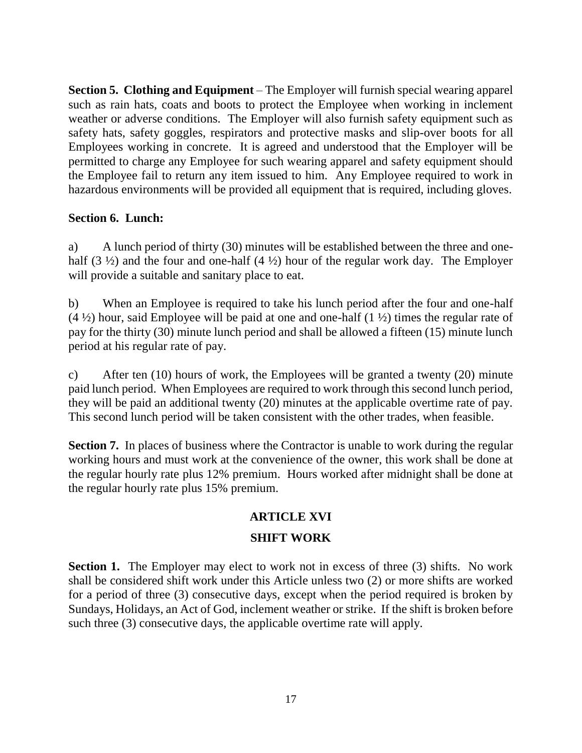**Section 5. Clothing and Equipment** – The Employer will furnish special wearing apparel such as rain hats, coats and boots to protect the Employee when working in inclement weather or adverse conditions. The Employer will also furnish safety equipment such as safety hats, safety goggles, respirators and protective masks and slip-over boots for all Employees working in concrete. It is agreed and understood that the Employer will be permitted to charge any Employee for such wearing apparel and safety equipment should the Employee fail to return any item issued to him. Any Employee required to work in hazardous environments will be provided all equipment that is required, including gloves.

# **Section 6. Lunch:**

a) A lunch period of thirty (30) minutes will be established between the three and onehalf  $(3 \frac{1}{2})$  and the four and one-half  $(4 \frac{1}{2})$  hour of the regular work day. The Employer will provide a suitable and sanitary place to eat.

b) When an Employee is required to take his lunch period after the four and one-half  $(4 \frac{1}{2})$  hour, said Employee will be paid at one and one-half  $(1 \frac{1}{2})$  times the regular rate of pay for the thirty (30) minute lunch period and shall be allowed a fifteen (15) minute lunch period at his regular rate of pay.

c) After ten (10) hours of work, the Employees will be granted a twenty (20) minute paid lunch period. When Employees are required to work through this second lunch period, they will be paid an additional twenty (20) minutes at the applicable overtime rate of pay. This second lunch period will be taken consistent with the other trades, when feasible.

**Section 7.** In places of business where the Contractor is unable to work during the regular working hours and must work at the convenience of the owner, this work shall be done at the regular hourly rate plus 12% premium. Hours worked after midnight shall be done at the regular hourly rate plus 15% premium.

# **ARTICLE XVI**

# **SHIFT WORK**

**Section 1.** The Employer may elect to work not in excess of three (3) shifts. No work shall be considered shift work under this Article unless two (2) or more shifts are worked for a period of three (3) consecutive days, except when the period required is broken by Sundays, Holidays, an Act of God, inclement weather or strike. If the shift is broken before such three (3) consecutive days, the applicable overtime rate will apply.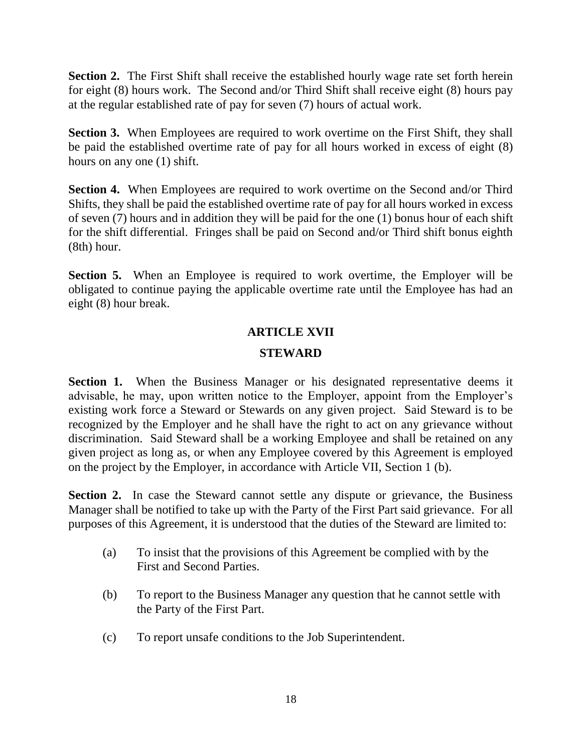**Section 2.** The First Shift shall receive the established hourly wage rate set forth herein for eight (8) hours work. The Second and/or Third Shift shall receive eight (8) hours pay at the regular established rate of pay for seven (7) hours of actual work.

**Section 3.** When Employees are required to work overtime on the First Shift, they shall be paid the established overtime rate of pay for all hours worked in excess of eight (8) hours on any one (1) shift.

**Section 4.** When Employees are required to work overtime on the Second and/or Third Shifts, they shall be paid the established overtime rate of pay for all hours worked in excess of seven (7) hours and in addition they will be paid for the one (1) bonus hour of each shift for the shift differential. Fringes shall be paid on Second and/or Third shift bonus eighth (8th) hour.

**Section 5.** When an Employee is required to work overtime, the Employer will be obligated to continue paying the applicable overtime rate until the Employee has had an eight (8) hour break.

# **ARTICLE XVII**

# **STEWARD**

**Section 1.** When the Business Manager or his designated representative deems it advisable, he may, upon written notice to the Employer, appoint from the Employer's existing work force a Steward or Stewards on any given project. Said Steward is to be recognized by the Employer and he shall have the right to act on any grievance without discrimination. Said Steward shall be a working Employee and shall be retained on any given project as long as, or when any Employee covered by this Agreement is employed on the project by the Employer, in accordance with Article VII, Section 1 (b).

**Section 2.** In case the Steward cannot settle any dispute or grievance, the Business Manager shall be notified to take up with the Party of the First Part said grievance. For all purposes of this Agreement, it is understood that the duties of the Steward are limited to:

- (a) To insist that the provisions of this Agreement be complied with by the First and Second Parties.
- (b) To report to the Business Manager any question that he cannot settle with the Party of the First Part.
- (c) To report unsafe conditions to the Job Superintendent.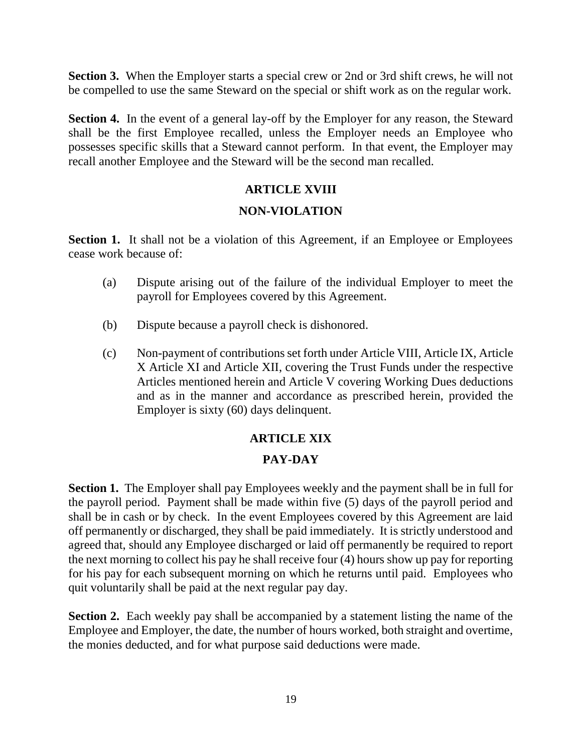**Section 3.** When the Employer starts a special crew or 2nd or 3rd shift crews, he will not be compelled to use the same Steward on the special or shift work as on the regular work.

**Section 4.** In the event of a general lay-off by the Employer for any reason, the Steward shall be the first Employee recalled, unless the Employer needs an Employee who possesses specific skills that a Steward cannot perform. In that event, the Employer may recall another Employee and the Steward will be the second man recalled.

# **ARTICLE XVIII**

# **NON-VIOLATION**

**Section 1.** It shall not be a violation of this Agreement, if an Employee or Employees cease work because of:

- (a) Dispute arising out of the failure of the individual Employer to meet the payroll for Employees covered by this Agreement.
- (b) Dispute because a payroll check is dishonored.
- (c) Non-payment of contributions set forth under Article VIII, Article IX, Article X Article XI and Article XII, covering the Trust Funds under the respective Articles mentioned herein and Article V covering Working Dues deductions and as in the manner and accordance as prescribed herein, provided the Employer is sixty (60) days delinquent.

# **ARTICLE XIX PAY-DAY**

**Section 1.** The Employer shall pay Employees weekly and the payment shall be in full for the payroll period. Payment shall be made within five (5) days of the payroll period and shall be in cash or by check. In the event Employees covered by this Agreement are laid off permanently or discharged, they shall be paid immediately. It is strictly understood and agreed that, should any Employee discharged or laid off permanently be required to report the next morning to collect his pay he shall receive four (4) hours show up pay for reporting for his pay for each subsequent morning on which he returns until paid. Employees who quit voluntarily shall be paid at the next regular pay day.

**Section 2.** Each weekly pay shall be accompanied by a statement listing the name of the Employee and Employer, the date, the number of hours worked, both straight and overtime, the monies deducted, and for what purpose said deductions were made.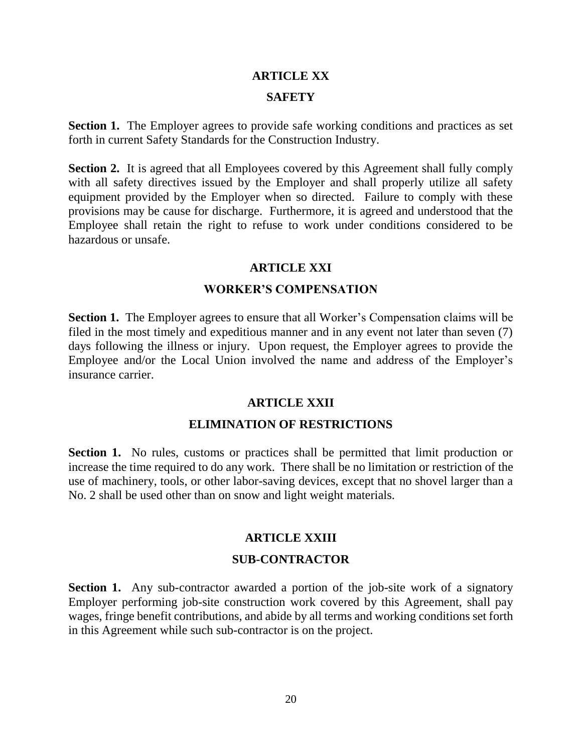#### **ARTICLE XX**

#### **SAFETY**

**Section 1.** The Employer agrees to provide safe working conditions and practices as set forth in current Safety Standards for the Construction Industry.

**Section 2.** It is agreed that all Employees covered by this Agreement shall fully comply with all safety directives issued by the Employer and shall properly utilize all safety equipment provided by the Employer when so directed. Failure to comply with these provisions may be cause for discharge. Furthermore, it is agreed and understood that the Employee shall retain the right to refuse to work under conditions considered to be hazardous or unsafe.

#### **ARTICLE XXI**

#### **WORKER'S COMPENSATION**

**Section 1.** The Employer agrees to ensure that all Worker's Compensation claims will be filed in the most timely and expeditious manner and in any event not later than seven (7) days following the illness or injury. Upon request, the Employer agrees to provide the Employee and/or the Local Union involved the name and address of the Employer's insurance carrier.

#### **ARTICLE XXII**

#### **ELIMINATION OF RESTRICTIONS**

**Section 1.** No rules, customs or practices shall be permitted that limit production or increase the time required to do any work. There shall be no limitation or restriction of the use of machinery, tools, or other labor-saving devices, except that no shovel larger than a No. 2 shall be used other than on snow and light weight materials.

#### **ARTICLE XXIII**

#### **SUB-CONTRACTOR**

**Section 1.** Any sub-contractor awarded a portion of the job-site work of a signatory Employer performing job-site construction work covered by this Agreement, shall pay wages, fringe benefit contributions, and abide by all terms and working conditions set forth in this Agreement while such sub-contractor is on the project.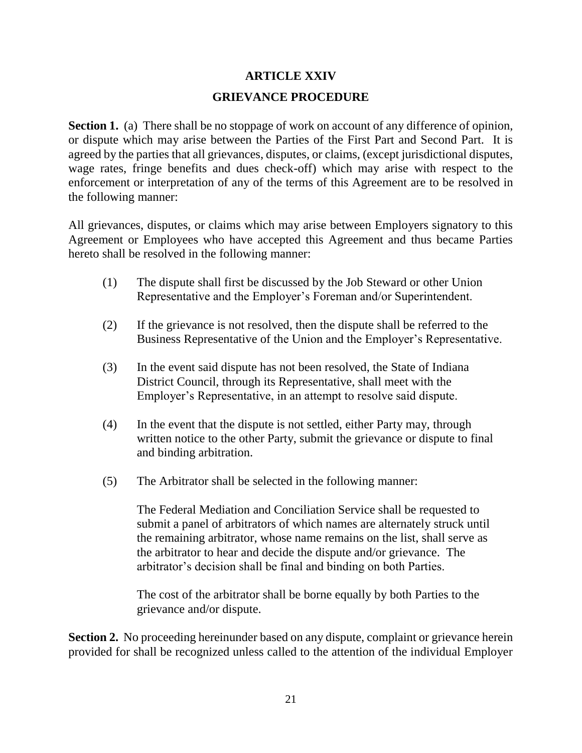# **ARTICLE XXIV**

# **GRIEVANCE PROCEDURE**

**Section 1.** (a) There shall be no stoppage of work on account of any difference of opinion, or dispute which may arise between the Parties of the First Part and Second Part. It is agreed by the parties that all grievances, disputes, or claims, (except jurisdictional disputes, wage rates, fringe benefits and dues check-off) which may arise with respect to the enforcement or interpretation of any of the terms of this Agreement are to be resolved in the following manner:

All grievances, disputes, or claims which may arise between Employers signatory to this Agreement or Employees who have accepted this Agreement and thus became Parties hereto shall be resolved in the following manner:

- (1) The dispute shall first be discussed by the Job Steward or other Union Representative and the Employer's Foreman and/or Superintendent.
- (2) If the grievance is not resolved, then the dispute shall be referred to the Business Representative of the Union and the Employer's Representative.
- (3) In the event said dispute has not been resolved, the State of Indiana District Council, through its Representative, shall meet with the Employer's Representative, in an attempt to resolve said dispute.
- (4) In the event that the dispute is not settled, either Party may, through written notice to the other Party, submit the grievance or dispute to final and binding arbitration.
- (5) The Arbitrator shall be selected in the following manner:

The Federal Mediation and Conciliation Service shall be requested to submit a panel of arbitrators of which names are alternately struck until the remaining arbitrator, whose name remains on the list, shall serve as the arbitrator to hear and decide the dispute and/or grievance. The arbitrator's decision shall be final and binding on both Parties.

The cost of the arbitrator shall be borne equally by both Parties to the grievance and/or dispute.

**Section 2.** No proceeding hereinunder based on any dispute, complaint or grievance herein provided for shall be recognized unless called to the attention of the individual Employer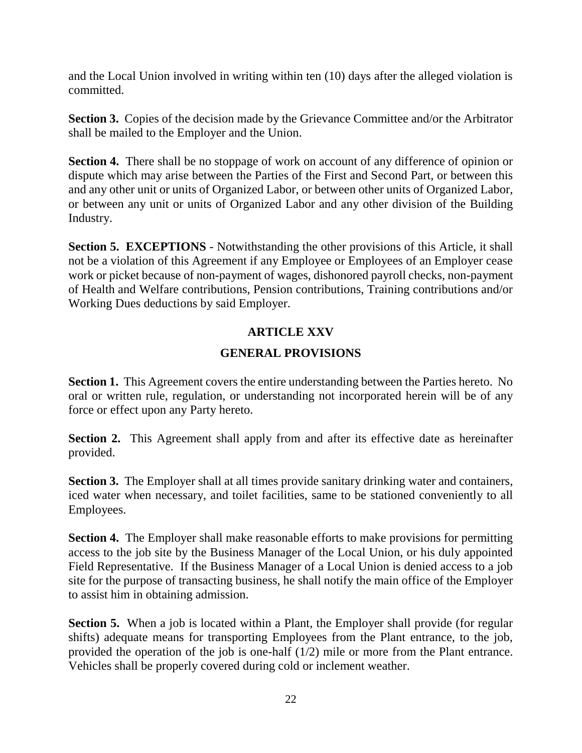and the Local Union involved in writing within ten (10) days after the alleged violation is committed.

**Section 3.** Copies of the decision made by the Grievance Committee and/or the Arbitrator shall be mailed to the Employer and the Union.

**Section 4.** There shall be no stoppage of work on account of any difference of opinion or dispute which may arise between the Parties of the First and Second Part, or between this and any other unit or units of Organized Labor, or between other units of Organized Labor, or between any unit or units of Organized Labor and any other division of the Building Industry.

**Section 5. EXCEPTIONS** - Notwithstanding the other provisions of this Article, it shall not be a violation of this Agreement if any Employee or Employees of an Employer cease work or picket because of non-payment of wages, dishonored payroll checks, non-payment of Health and Welfare contributions, Pension contributions, Training contributions and/or Working Dues deductions by said Employer.

# **ARTICLE XXV**

# **GENERAL PROVISIONS**

**Section 1.** This Agreement covers the entire understanding between the Parties hereto. No oral or written rule, regulation, or understanding not incorporated herein will be of any force or effect upon any Party hereto.

**Section 2.** This Agreement shall apply from and after its effective date as hereinafter provided.

**Section 3.** The Employer shall at all times provide sanitary drinking water and containers, iced water when necessary, and toilet facilities, same to be stationed conveniently to all Employees.

**Section 4.** The Employer shall make reasonable efforts to make provisions for permitting access to the job site by the Business Manager of the Local Union, or his duly appointed Field Representative. If the Business Manager of a Local Union is denied access to a job site for the purpose of transacting business, he shall notify the main office of the Employer to assist him in obtaining admission.

**Section 5.** When a job is located within a Plant, the Employer shall provide (for regular shifts) adequate means for transporting Employees from the Plant entrance, to the job, provided the operation of the job is one-half (1/2) mile or more from the Plant entrance. Vehicles shall be properly covered during cold or inclement weather.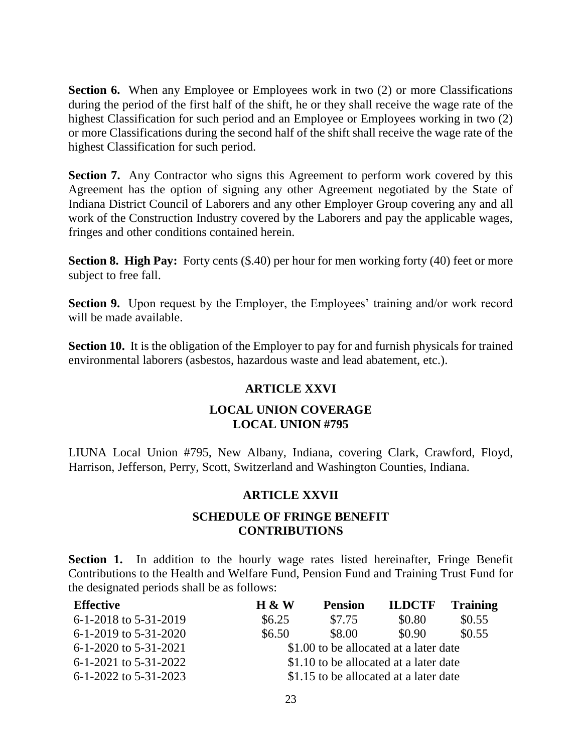**Section 6.** When any Employee or Employees work in two (2) or more Classifications during the period of the first half of the shift, he or they shall receive the wage rate of the highest Classification for such period and an Employee or Employees working in two (2) or more Classifications during the second half of the shift shall receive the wage rate of the highest Classification for such period.

**Section 7.** Any Contractor who signs this Agreement to perform work covered by this Agreement has the option of signing any other Agreement negotiated by the State of Indiana District Council of Laborers and any other Employer Group covering any and all work of the Construction Industry covered by the Laborers and pay the applicable wages, fringes and other conditions contained herein.

**Section 8. High Pay:** Forty cents (\$.40) per hour for men working forty (40) feet or more subject to free fall.

**Section 9.** Upon request by the Employer, the Employees' training and/or work record will be made available.

**Section 10.** It is the obligation of the Employer to pay for and furnish physicals for trained environmental laborers (asbestos, hazardous waste and lead abatement, etc.).

# **ARTICLE XXVI**

# **LOCAL UNION COVERAGE LOCAL UNION #795**

LIUNA Local Union #795, New Albany, Indiana, covering Clark, Crawford, Floyd, Harrison, Jefferson, Perry, Scott, Switzerland and Washington Counties, Indiana.

# **ARTICLE XXVII**

# **SCHEDULE OF FRINGE BENEFIT CONTRIBUTIONS**

**Section 1.** In addition to the hourly wage rates listed hereinafter, Fringe Benefit Contributions to the Health and Welfare Fund, Pension Fund and Training Trust Fund for the designated periods shall be as follows:

| <b>Effective</b>          | $H \& W$ | <b>Pension</b> | <b>ILDCTF</b>                          | <b>Training</b> |
|---------------------------|----------|----------------|----------------------------------------|-----------------|
| 6-1-2018 to 5-31-2019     | \$6.25   | \$7.75         | \$0.80                                 | \$0.55          |
| $6-1-2019$ to $5-31-2020$ | \$6.50   | \$8.00         | \$0.90                                 | \$0.55          |
| $6-1-2020$ to $5-31-2021$ |          |                | \$1.00 to be allocated at a later date |                 |
| $6-1-2021$ to $5-31-2022$ |          |                | \$1.10 to be allocated at a later date |                 |
| 6-1-2022 to 5-31-2023     |          |                | \$1.15 to be allocated at a later date |                 |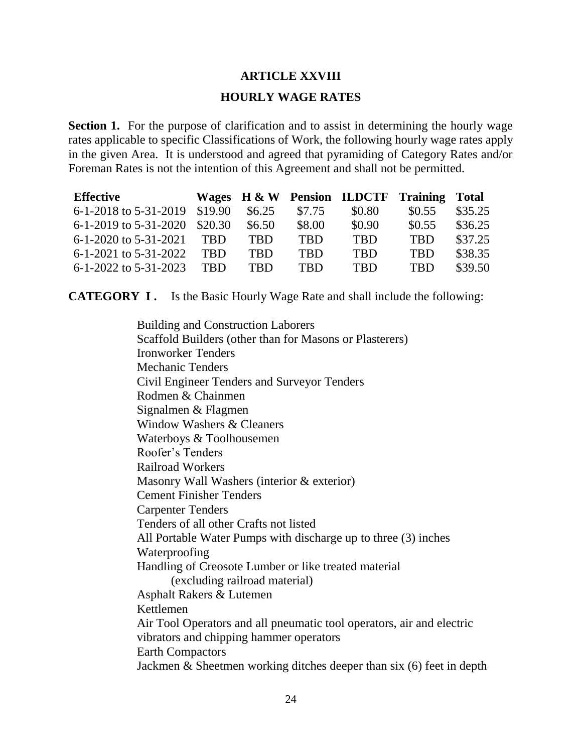#### **ARTICLE XXVIII**

#### **HOURLY WAGE RATES**

**Section 1.** For the purpose of clarification and to assist in determining the hourly wage rates applicable to specific Classifications of Work, the following hourly wage rates apply in the given Area. It is understood and agreed that pyramiding of Category Rates and/or Foreman Rates is not the intention of this Agreement and shall not be permitted.

| <b>Effective</b>              |            |            |            | Wages H & W Pension ILDCTF Training Total |            |         |
|-------------------------------|------------|------------|------------|-------------------------------------------|------------|---------|
| 6-1-2018 to 5-31-2019 \$19.90 |            | \$6.25     | \$7.75     | \$0.80                                    | \$0.55     | \$35.25 |
| 6-1-2019 to 5-31-2020 \$20.30 |            | \$6.50     | \$8.00     | \$0.90                                    | \$0.55     | \$36.25 |
| $6-1-2020$ to $5-31-2021$     | <b>TRD</b> | <b>TBD</b> | <b>TBD</b> | <b>TBD</b>                                | <b>TBD</b> | \$37.25 |
| $6-1-2021$ to $5-31-2022$     | <b>TBD</b> | <b>TRD</b> | <b>TBD</b> | <b>TBD</b>                                | <b>TBD</b> | \$38.35 |
| $6-1-2022$ to $5-31-2023$     | <b>TRD</b> | <b>TBD</b> | <b>TBD</b> | <b>TRD</b>                                | <b>TBD</b> | \$39.50 |

**CATEGORY I.** Is the Basic Hourly Wage Rate and shall include the following:

Building and Construction Laborers Scaffold Builders (other than for Masons or Plasterers) Ironworker Tenders Mechanic Tenders Civil Engineer Tenders and Surveyor Tenders Rodmen & Chainmen Signalmen & Flagmen Window Washers & Cleaners Waterboys & Toolhousemen Roofer's Tenders Railroad Workers Masonry Wall Washers (interior & exterior) Cement Finisher Tenders Carpenter Tenders Tenders of all other Crafts not listed All Portable Water Pumps with discharge up to three (3) inches Waterproofing Handling of Creosote Lumber or like treated material (excluding railroad material) Asphalt Rakers & Lutemen Kettlemen Air Tool Operators and all pneumatic tool operators, air and electric vibrators and chipping hammer operators Earth Compactors Jackmen & Sheetmen working ditches deeper than six (6) feet in depth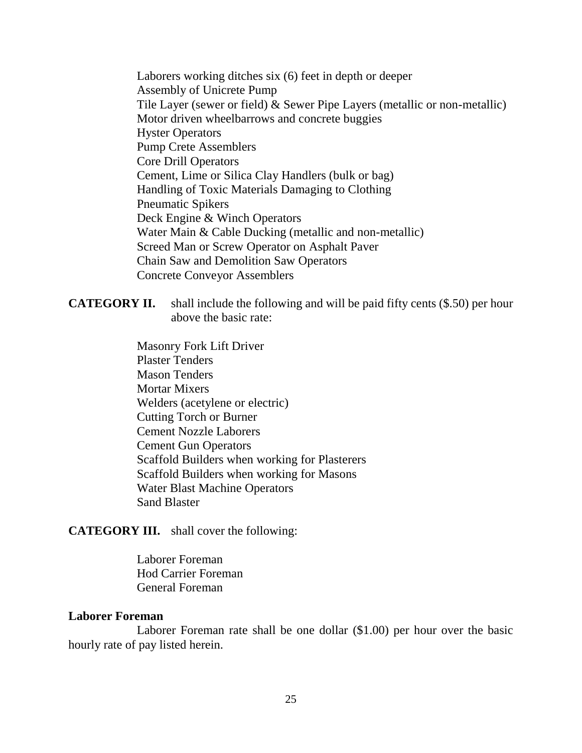Laborers working ditches six (6) feet in depth or deeper Assembly of Unicrete Pump Tile Layer (sewer or field) & Sewer Pipe Layers (metallic or non-metallic) Motor driven wheelbarrows and concrete buggies Hyster Operators Pump Crete Assemblers Core Drill Operators Cement, Lime or Silica Clay Handlers (bulk or bag) Handling of Toxic Materials Damaging to Clothing Pneumatic Spikers Deck Engine & Winch Operators Water Main & Cable Ducking (metallic and non-metallic) Screed Man or Screw Operator on Asphalt Paver Chain Saw and Demolition Saw Operators Concrete Conveyor Assemblers

**CATEGORY II.** shall include the following and will be paid fifty cents (\$.50) per hour above the basic rate:

> Masonry Fork Lift Driver Plaster Tenders Mason Tenders Mortar Mixers Welders (acetylene or electric) Cutting Torch or Burner Cement Nozzle Laborers Cement Gun Operators Scaffold Builders when working for Plasterers Scaffold Builders when working for Masons Water Blast Machine Operators Sand Blaster

**CATEGORY III.** shall cover the following:

Laborer Foreman Hod Carrier Foreman General Foreman

#### **Laborer Foreman**

Laborer Foreman rate shall be one dollar (\$1.00) per hour over the basic hourly rate of pay listed herein.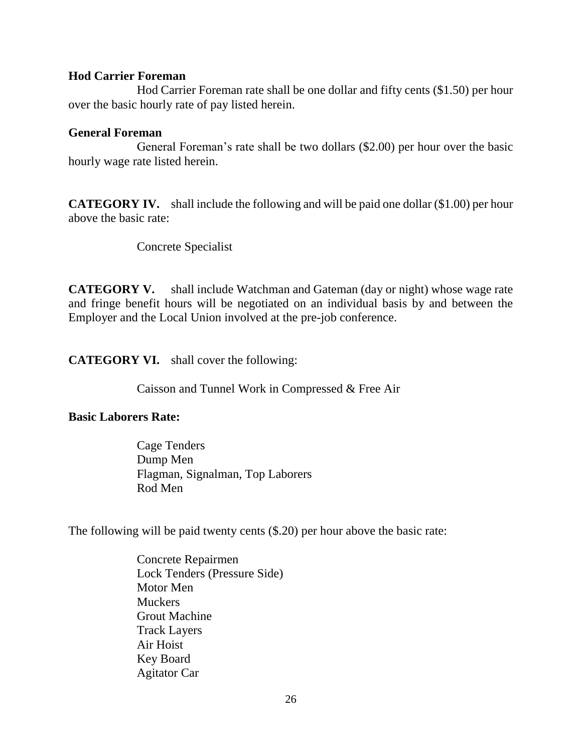#### **Hod Carrier Foreman**

Hod Carrier Foreman rate shall be one dollar and fifty cents (\$1.50) per hour over the basic hourly rate of pay listed herein.

#### **General Foreman**

General Foreman's rate shall be two dollars (\$2.00) per hour over the basic hourly wage rate listed herein.

**CATEGORY IV.** shall include the following and will be paid one dollar (\$1.00) per hour above the basic rate:

Concrete Specialist

**CATEGORY V.** shall include Watchman and Gateman (day or night) whose wage rate and fringe benefit hours will be negotiated on an individual basis by and between the Employer and the Local Union involved at the pre-job conference.

**CATEGORY VI.** shall cover the following:

Caisson and Tunnel Work in Compressed & Free Air

# **Basic Laborers Rate:**

Cage Tenders Dump Men Flagman, Signalman, Top Laborers Rod Men

The following will be paid twenty cents (\$.20) per hour above the basic rate:

Concrete Repairmen Lock Tenders (Pressure Side) Motor Men Muckers Grout Machine Track Layers Air Hoist Key Board Agitator Car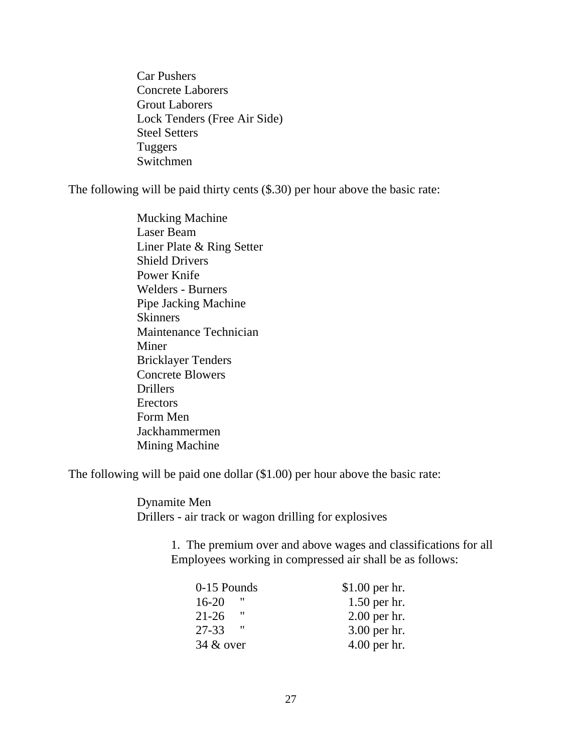Car Pushers Concrete Laborers Grout Laborers Lock Tenders (Free Air Side) Steel Setters Tuggers Switchmen

The following will be paid thirty cents (\$.30) per hour above the basic rate:

Mucking Machine Laser Beam Liner Plate & Ring Setter Shield Drivers Power Knife Welders - Burners Pipe Jacking Machine **Skinners** Maintenance Technician Miner Bricklayer Tenders Concrete Blowers Drillers **Erectors** Form Men Jackhammermen Mining Machine

The following will be paid one dollar (\$1.00) per hour above the basic rate:

Dynamite Men Drillers - air track or wagon drilling for explosives

> 1. The premium over and above wages and classifications for all Employees working in compressed air shall be as follows:

| 0-15 Pounds    | $$1.00$ per hr. |
|----------------|-----------------|
| "<br>$16 - 20$ | $1.50$ per hr.  |
| "<br>$21 - 26$ | $2.00$ per hr.  |
| $27 - 33$      | 3.00 per hr.    |
| $34 &$ over    | $4.00$ per hr.  |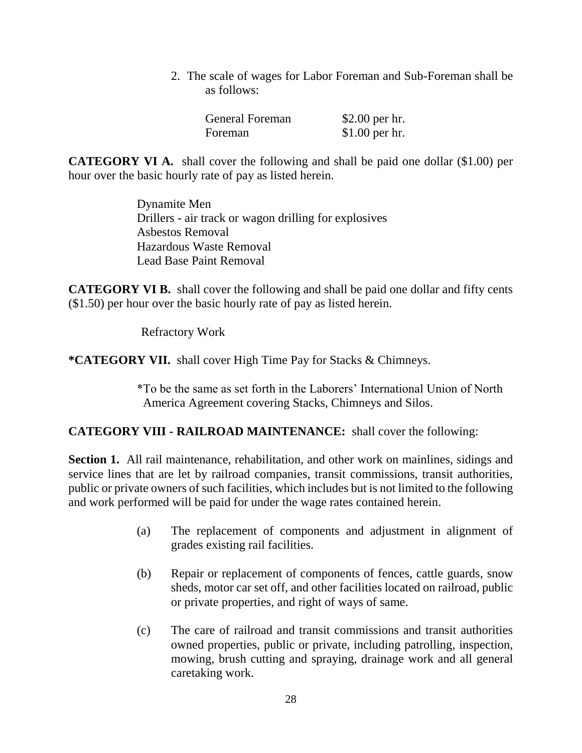2. The scale of wages for Labor Foreman and Sub-Foreman shall be as follows:

| <b>General Foreman</b> | \$2.00 per hr.  |
|------------------------|-----------------|
| Foreman                | $$1.00$ per hr. |

**CATEGORY VI A.** shall cover the following and shall be paid one dollar (\$1.00) per hour over the basic hourly rate of pay as listed herein.

> Dynamite Men Drillers - air track or wagon drilling for explosives Asbestos Removal Hazardous Waste Removal Lead Base Paint Removal

**CATEGORY VI B.** shall cover the following and shall be paid one dollar and fifty cents (\$1.50) per hour over the basic hourly rate of pay as listed herein.

Refractory Work

**\*CATEGORY VII.** shall cover High Time Pay for Stacks & Chimneys.

\*To be the same as set forth in the Laborers' International Union of North America Agreement covering Stacks, Chimneys and Silos.

# **CATEGORY VIII - RAILROAD MAINTENANCE:** shall cover the following:

**Section 1.** All rail maintenance, rehabilitation, and other work on mainlines, sidings and service lines that are let by railroad companies, transit commissions, transit authorities, public or private owners of such facilities, which includes but is not limited to the following and work performed will be paid for under the wage rates contained herein.

- (a) The replacement of components and adjustment in alignment of grades existing rail facilities.
- (b) Repair or replacement of components of fences, cattle guards, snow sheds, motor car set off, and other facilities located on railroad, public or private properties, and right of ways of same.
- (c) The care of railroad and transit commissions and transit authorities owned properties, public or private, including patrolling, inspection, mowing, brush cutting and spraying, drainage work and all general caretaking work.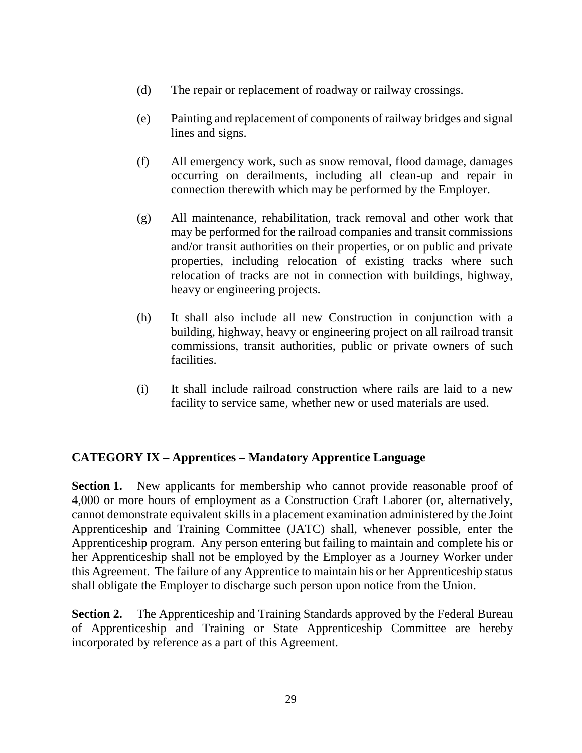- (d) The repair or replacement of roadway or railway crossings.
- (e) Painting and replacement of components of railway bridges and signal lines and signs.
- (f) All emergency work, such as snow removal, flood damage, damages occurring on derailments, including all clean-up and repair in connection therewith which may be performed by the Employer.
- (g) All maintenance, rehabilitation, track removal and other work that may be performed for the railroad companies and transit commissions and/or transit authorities on their properties, or on public and private properties, including relocation of existing tracks where such relocation of tracks are not in connection with buildings, highway, heavy or engineering projects.
- (h) It shall also include all new Construction in conjunction with a building, highway, heavy or engineering project on all railroad transit commissions, transit authorities, public or private owners of such facilities.
- (i) It shall include railroad construction where rails are laid to a new facility to service same, whether new or used materials are used.

# **CATEGORY IX – Apprentices – Mandatory Apprentice Language**

**Section 1.** New applicants for membership who cannot provide reasonable proof of 4,000 or more hours of employment as a Construction Craft Laborer (or, alternatively, cannot demonstrate equivalent skills in a placement examination administered by the Joint Apprenticeship and Training Committee (JATC) shall, whenever possible, enter the Apprenticeship program. Any person entering but failing to maintain and complete his or her Apprenticeship shall not be employed by the Employer as a Journey Worker under this Agreement. The failure of any Apprentice to maintain his or her Apprenticeship status shall obligate the Employer to discharge such person upon notice from the Union.

**Section 2.** The Apprenticeship and Training Standards approved by the Federal Bureau of Apprenticeship and Training or State Apprenticeship Committee are hereby incorporated by reference as a part of this Agreement.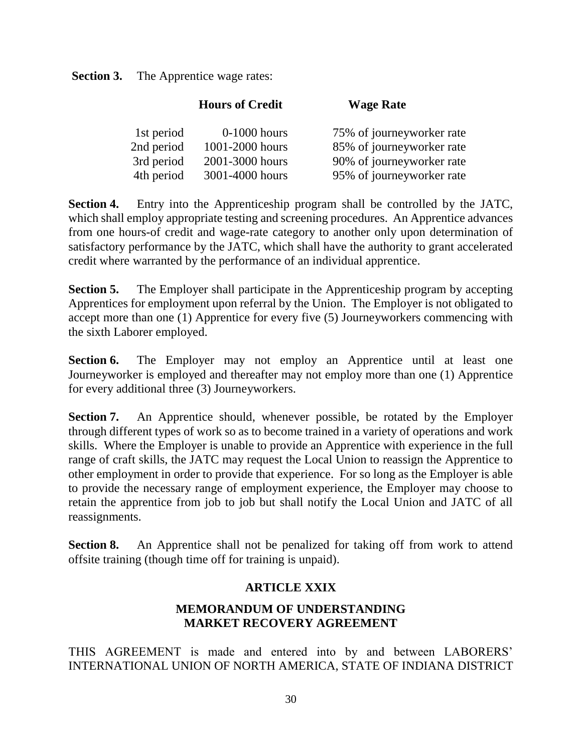**Section 3.** The Apprentice wage rates:

|            | <b>Hours of Credit</b> | <b>Wage Rate</b>          |
|------------|------------------------|---------------------------|
| 1st period | $0-1000$ hours         | 75% of journeyworker rate |
| 2nd period | 1001-2000 hours        | 85% of journeyworker rate |
| 3rd period | 2001-3000 hours        | 90% of journeyworker rate |
| 4th period | 3001-4000 hours        | 95% of journeyworker rate |

**Section 4.** Entry into the Apprenticeship program shall be controlled by the JATC, which shall employ appropriate testing and screening procedures. An Apprentice advances from one hours-of credit and wage-rate category to another only upon determination of satisfactory performance by the JATC, which shall have the authority to grant accelerated credit where warranted by the performance of an individual apprentice.

**Section 5.** The Employer shall participate in the Apprenticeship program by accepting Apprentices for employment upon referral by the Union. The Employer is not obligated to accept more than one (1) Apprentice for every five (5) Journeyworkers commencing with the sixth Laborer employed.

**Section 6.** The Employer may not employ an Apprentice until at least one Journeyworker is employed and thereafter may not employ more than one (1) Apprentice for every additional three (3) Journeyworkers.

**Section 7.** An Apprentice should, whenever possible, be rotated by the Employer through different types of work so as to become trained in a variety of operations and work skills. Where the Employer is unable to provide an Apprentice with experience in the full range of craft skills, the JATC may request the Local Union to reassign the Apprentice to other employment in order to provide that experience. For so long as the Employer is able to provide the necessary range of employment experience, the Employer may choose to retain the apprentice from job to job but shall notify the Local Union and JATC of all reassignments.

**Section 8.** An Apprentice shall not be penalized for taking off from work to attend offsite training (though time off for training is unpaid).

# **ARTICLE XXIX**

# **MEMORANDUM OF UNDERSTANDING MARKET RECOVERY AGREEMENT**

THIS AGREEMENT is made and entered into by and between LABORERS' INTERNATIONAL UNION OF NORTH AMERICA, STATE OF INDIANA DISTRICT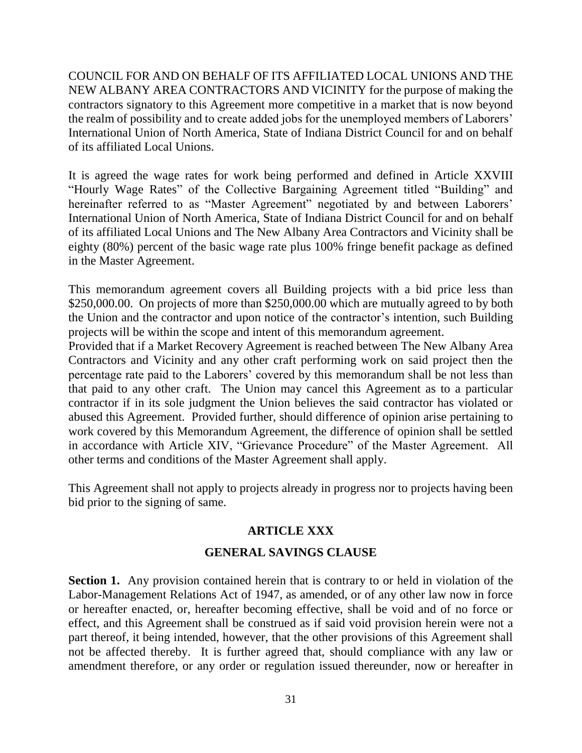COUNCIL FOR AND ON BEHALF OF ITS AFFILIATED LOCAL UNIONS AND THE NEW ALBANY AREA CONTRACTORS AND VICINITY for the purpose of making the contractors signatory to this Agreement more competitive in a market that is now beyond the realm of possibility and to create added jobs for the unemployed members of Laborers' International Union of North America, State of Indiana District Council for and on behalf of its affiliated Local Unions.

It is agreed the wage rates for work being performed and defined in Article XXVIII "Hourly Wage Rates" of the Collective Bargaining Agreement titled "Building" and hereinafter referred to as "Master Agreement" negotiated by and between Laborers' International Union of North America, State of Indiana District Council for and on behalf of its affiliated Local Unions and The New Albany Area Contractors and Vicinity shall be eighty (80%) percent of the basic wage rate plus 100% fringe benefit package as defined in the Master Agreement.

This memorandum agreement covers all Building projects with a bid price less than \$250,000.00. On projects of more than \$250,000.00 which are mutually agreed to by both the Union and the contractor and upon notice of the contractor's intention, such Building projects will be within the scope and intent of this memorandum agreement.

Provided that if a Market Recovery Agreement is reached between The New Albany Area Contractors and Vicinity and any other craft performing work on said project then the percentage rate paid to the Laborers' covered by this memorandum shall be not less than that paid to any other craft. The Union may cancel this Agreement as to a particular contractor if in its sole judgment the Union believes the said contractor has violated or abused this Agreement. Provided further, should difference of opinion arise pertaining to work covered by this Memorandum Agreement, the difference of opinion shall be settled in accordance with Article XIV, "Grievance Procedure" of the Master Agreement. All other terms and conditions of the Master Agreement shall apply.

This Agreement shall not apply to projects already in progress nor to projects having been bid prior to the signing of same.

# **ARTICLE XXX**

# **GENERAL SAVINGS CLAUSE**

**Section 1.** Any provision contained herein that is contrary to or held in violation of the Labor-Management Relations Act of 1947, as amended, or of any other law now in force or hereafter enacted, or, hereafter becoming effective, shall be void and of no force or effect, and this Agreement shall be construed as if said void provision herein were not a part thereof, it being intended, however, that the other provisions of this Agreement shall not be affected thereby. It is further agreed that, should compliance with any law or amendment therefore, or any order or regulation issued thereunder, now or hereafter in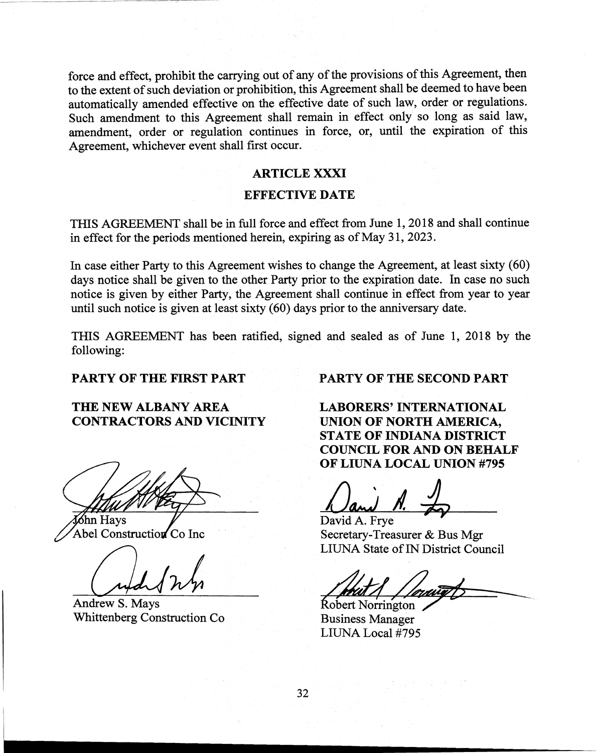force and effect, prohibit the carrying out of any of the provisions of this Agreement, then to the extent of such deviation or prohibition, this Agreement shall be deemed to have been automatically amended effective on the effective date of such law, order or regulations. Such amendment to this Agreement shall remain in effect only so long as said law, amendment, order or regulation continues in force, or, until the expiration of this Agreement, whichever event shall first occur.

#### ARTICLE XXXI

#### EFFECTIVE DATE

THIS AGREEMENT shall be in full force and effect from June 1,2018 and shall continue in effect for the periods mentioned herein, expiring as of May 31, 2023.

In case either Party to this Agreement wishes to change the Agreement, at least sixty (60) days notice shall be given to the other Party prior to the expiration date. In case no such notice is given by either Party, the Agreement shall continue in effect from year to year until such notice is given at least sixty (60) days prior to the anniversary date.

THIS AGREEMENT has been ratifIed, signed and sealed as of June 1, 2018 by the following:

# THE NEW ALBANY AREA **LABORERS' INTERNATIONAL** CONTRACTORS AND VICINITY UNION OF NORTH AMERICA,

**Sohn Hays** David A. Frye<br>
Abel Construction Co Inc Secretary-Trea

Whittenberg Construction Co Business Manager

PARTY OF THE FIRST PART **PARTY OF THE SECOND PART** 

STATE OF INDIANA DISTRICT COUNCIL FOR AND ON BEHALF OF LIUNA LOCAL UNION #795

Secretary-Treasurer & Bus Mgr LIUNA State of IN District Council

 $\frac{1}{\frac{1}{\sqrt{N}}}{\frac{1}{\sqrt{N}}}{\frac{1}{\sqrt{N}}}{\frac{1}{N}}$ 

LIUNA Local #795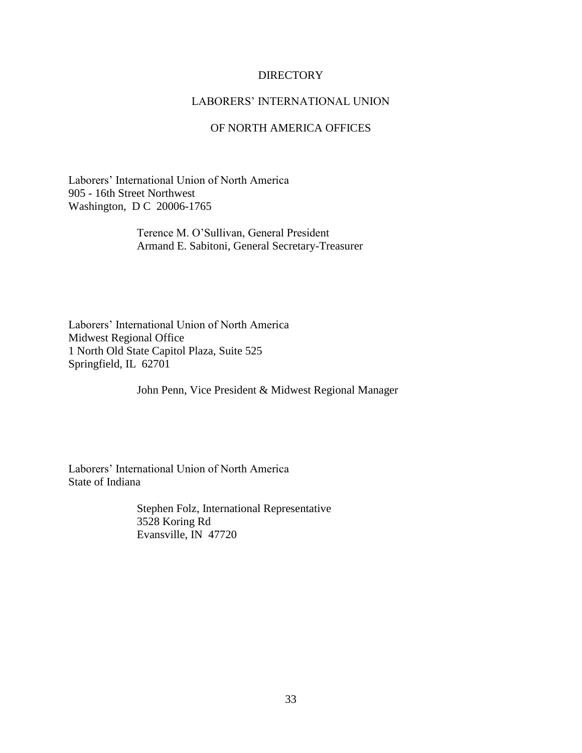#### DIRECTORY

#### LABORERS' INTERNATIONAL UNION

#### OF NORTH AMERICA OFFICES

Laborers' International Union of North America 905 - 16th Street Northwest Washington, D C 20006-1765

> Terence M. O'Sullivan, General President Armand E. Sabitoni, General Secretary-Treasurer

Laborers' International Union of North America Midwest Regional Office 1 North Old State Capitol Plaza, Suite 525 Springfield, IL 62701

John Penn, Vice President & Midwest Regional Manager

Laborers' International Union of North America State of Indiana

> Stephen Folz, International Representative 3528 Koring Rd Evansville, IN 47720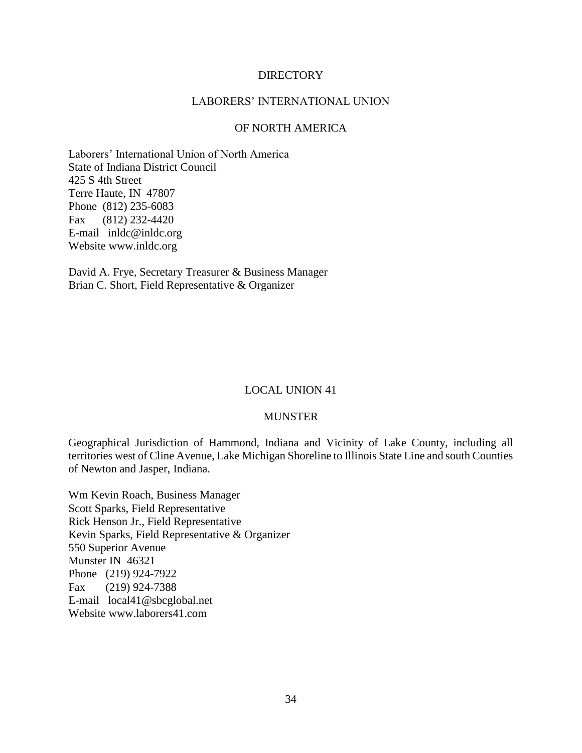#### **DIRECTORY**

#### LABORERS' INTERNATIONAL UNION

#### OF NORTH AMERICA

Laborers' International Union of North America State of Indiana District Council 425 S 4th Street Terre Haute, IN 47807 Phone (812) 235-6083 Fax (812) 232-4420 E-mail inldc@inldc.org Website www.inldc.org

David A. Frye, Secretary Treasurer & Business Manager Brian C. Short, Field Representative & Organizer

#### LOCAL UNION 41

#### MUNSTER

Geographical Jurisdiction of Hammond, Indiana and Vicinity of Lake County, including all territories west of Cline Avenue, Lake Michigan Shoreline to Illinois State Line and south Counties of Newton and Jasper, Indiana.

Wm Kevin Roach, Business Manager Scott Sparks, Field Representative Rick Henson Jr., Field Representative Kevin Sparks, Field Representative & Organizer 550 Superior Avenue Munster IN 46321 Phone (219) 924-7922 Fax (219) 924-7388 E-mail local41@sbcglobal.net Website www.laborers41.com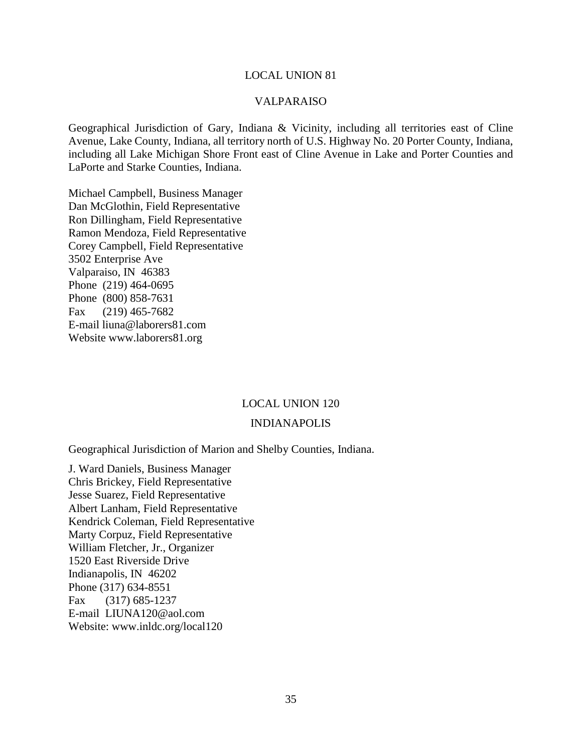#### VALPARAISO

Geographical Jurisdiction of Gary, Indiana & Vicinity, including all territories east of Cline Avenue, Lake County, Indiana, all territory north of U.S. Highway No. 20 Porter County, Indiana, including all Lake Michigan Shore Front east of Cline Avenue in Lake and Porter Counties and LaPorte and Starke Counties, Indiana.

Michael Campbell, Business Manager Dan McGlothin, Field Representative Ron Dillingham, Field Representative Ramon Mendoza, Field Representative Corey Campbell, Field Representative 3502 Enterprise Ave Valparaiso, IN 46383 Phone (219) 464-0695 Phone (800) 858-7631 Fax (219) 465-7682 E-mail liuna@laborers81.com Website www.laborers81.org

#### LOCAL UNION 120

#### INDIANAPOLIS

Geographical Jurisdiction of Marion and Shelby Counties, Indiana.

J. Ward Daniels, Business Manager Chris Brickey, Field Representative Jesse Suarez, Field Representative Albert Lanham, Field Representative Kendrick Coleman, Field Representative Marty Corpuz, Field Representative William Fletcher, Jr., Organizer 1520 East Riverside Drive Indianapolis, IN 46202 Phone (317) 634-8551 Fax (317) 685-1237 E-mail LIUNA120@aol.com Website: www.inldc.org/local120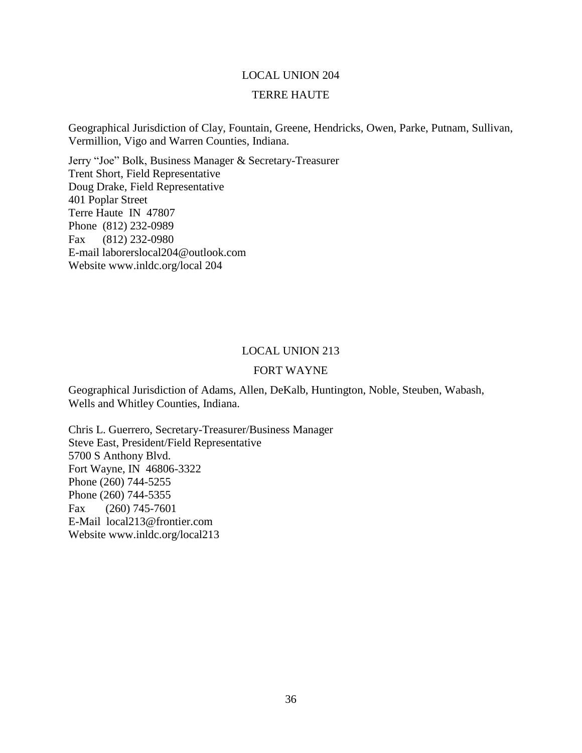# LOCAL UNION 204 TERRE HAUTE

Geographical Jurisdiction of Clay, Fountain, Greene, Hendricks, Owen, Parke, Putnam, Sullivan, Vermillion, Vigo and Warren Counties, Indiana.

Jerry "Joe" Bolk, Business Manager & Secretary-Treasurer Trent Short, Field Representative Doug Drake, Field Representative 401 Poplar Street Terre Haute IN 47807 Phone (812) 232-0989 Fax (812) 232-0980 E-mail laborerslocal204@outlook.com Website www.inldc.org/local 204

#### LOCAL UNION 213

#### FORT WAYNE

Geographical Jurisdiction of Adams, Allen, DeKalb, Huntington, Noble, Steuben, Wabash, Wells and Whitley Counties, Indiana.

Chris L. Guerrero, Secretary-Treasurer/Business Manager Steve East, President/Field Representative 5700 S Anthony Blvd. Fort Wayne, IN 46806-3322 Phone (260) 744-5255 Phone (260) 744-5355 Fax (260) 745-7601 E-Mail local213@frontier.com Website www.inldc.org/local213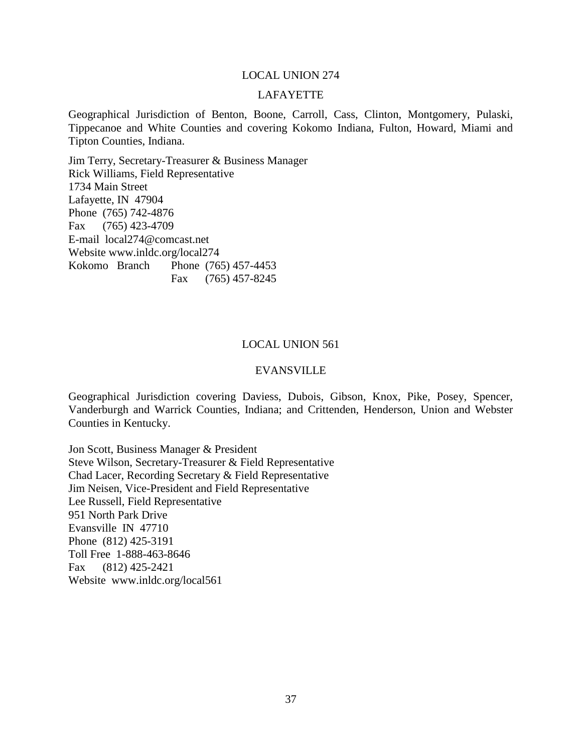#### LAFAYETTE

Geographical Jurisdiction of Benton, Boone, Carroll, Cass, Clinton, Montgomery, Pulaski, Tippecanoe and White Counties and covering Kokomo Indiana, Fulton, Howard, Miami and Tipton Counties, Indiana.

Jim Terry, Secretary-Treasurer & Business Manager Rick Williams, Field Representative 1734 Main Street Lafayette, IN 47904 Phone (765) 742-4876 Fax (765) 423-4709 E-mail local274@comcast.net Website www.inldc.org/local274 Kokomo Branch Phone (765) 457-4453 Fax (765) 457-8245

#### LOCAL UNION 561

#### EVANSVILLE

Geographical Jurisdiction covering Daviess, Dubois, Gibson, Knox, Pike, Posey, Spencer, Vanderburgh and Warrick Counties, Indiana; and Crittenden, Henderson, Union and Webster Counties in Kentucky.

Jon Scott, Business Manager & President Steve Wilson, Secretary-Treasurer & Field Representative Chad Lacer, Recording Secretary & Field Representative Jim Neisen, Vice-President and Field Representative Lee Russell, Field Representative 951 North Park Drive Evansville IN 47710 Phone (812) 425-3191 Toll Free 1-888-463-8646 Fax (812) 425-2421 Website www.inldc.org/local561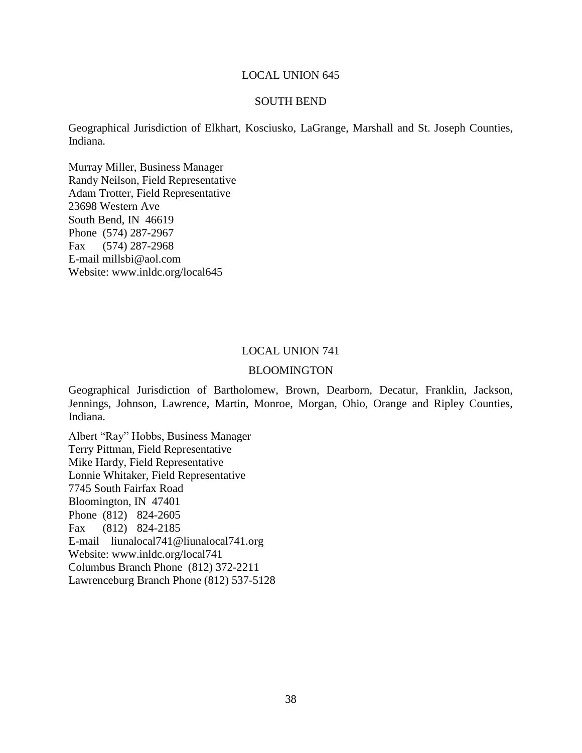#### SOUTH BEND

Geographical Jurisdiction of Elkhart, Kosciusko, LaGrange, Marshall and St. Joseph Counties, Indiana.

Murray Miller, Business Manager Randy Neilson, Field Representative Adam Trotter, Field Representative 23698 Western Ave South Bend, IN 46619 Phone (574) 287-2967 Fax (574) 287-2968 E-mail millsbi@aol.com Website: www.inldc.org/local645

#### LOCAL UNION 741

#### BLOOMINGTON

Geographical Jurisdiction of Bartholomew, Brown, Dearborn, Decatur, Franklin, Jackson, Jennings, Johnson, Lawrence, Martin, Monroe, Morgan, Ohio, Orange and Ripley Counties, Indiana.

Albert "Ray" Hobbs, Business Manager Terry Pittman, Field Representative Mike Hardy, Field Representative Lonnie Whitaker, Field Representative 7745 South Fairfax Road Bloomington, IN 47401 Phone (812) 824-2605 Fax (812) 824-2185 E-mail liunalocal741@liunalocal741.org Website: www.inldc.org/local741 Columbus Branch Phone (812) 372-2211 Lawrenceburg Branch Phone (812) 537-5128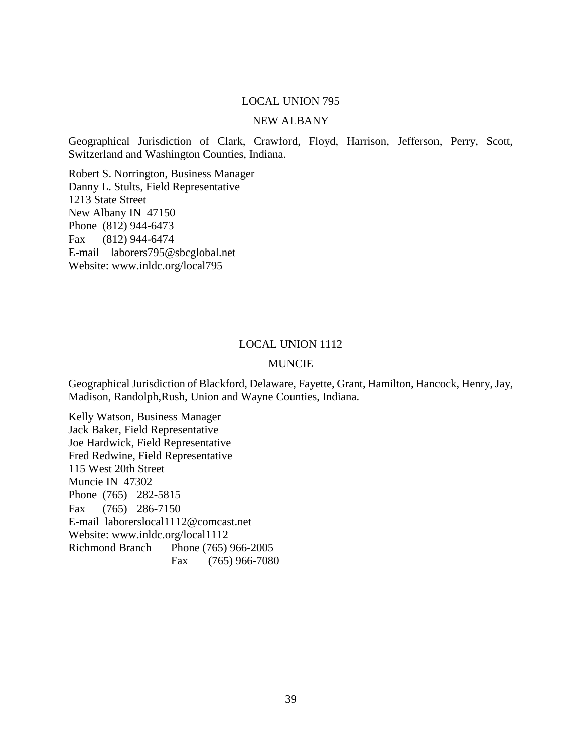#### NEW ALBANY

Geographical Jurisdiction of Clark, Crawford, Floyd, Harrison, Jefferson, Perry, Scott, Switzerland and Washington Counties, Indiana.

Robert S. Norrington, Business Manager Danny L. Stults, Field Representative 1213 State Street New Albany IN 47150 Phone (812) 944-6473 Fax (812) 944-6474 E-mail laborers795@sbcglobal.net Website: www.inldc.org/local795

#### LOCAL UNION 1112

#### MUNCIE

Geographical Jurisdiction of Blackford, Delaware, Fayette, Grant, Hamilton, Hancock, Henry, Jay, Madison, Randolph,Rush, Union and Wayne Counties, Indiana.

Kelly Watson, Business Manager Jack Baker, Field Representative Joe Hardwick, Field Representative Fred Redwine, Field Representative 115 West 20th Street Muncie IN 47302 Phone (765) 282-5815 Fax (765) 286-7150 E-mail laborerslocal1112@comcast.net Website: www.inldc.org/local1112 Richmond Branch Phone (765) 966-2005 Fax (765) 966-7080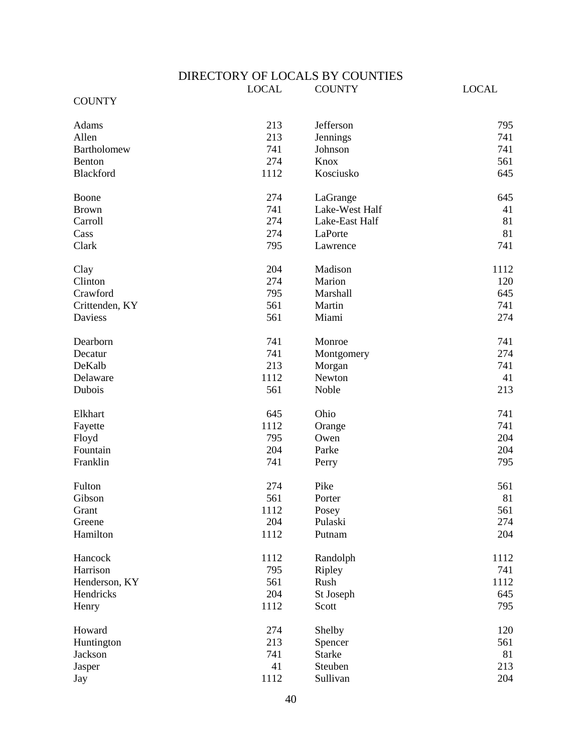#### DIRECTORY OF LOCALS BY COUNTIES

|                | <b>LOCAL</b> | <b>COUNTY</b>  | <b>LOCAL</b> |
|----------------|--------------|----------------|--------------|
| <b>COUNTY</b>  |              |                |              |
| Adams          | 213          | Jefferson      | 795          |
| Allen          | 213          |                | 741          |
|                |              | Jennings       |              |
| Bartholomew    | 741<br>274   | Johnson        | 741          |
| Benton         |              | Knox           | 561          |
| Blackford      | 1112         | Kosciusko      | 645          |
| Boone          | 274          | LaGrange       | 645          |
| <b>Brown</b>   | 741          | Lake-West Half | 41           |
| Carroll        | 274          | Lake-East Half | 81           |
| Cass           | 274          | LaPorte        | 81           |
| Clark          | 795          | Lawrence       | 741          |
| Clay           | 204          | Madison        | 1112         |
| Clinton        | 274          | Marion         | 120          |
| Crawford       | 795          | Marshall       | 645          |
| Crittenden, KY | 561          | Martin         | 741          |
| <b>Daviess</b> | 561          | Miami          | 274          |
|                |              |                |              |
| Dearborn       | 741          | Monroe         | 741          |
| Decatur        | 741          | Montgomery     | 274          |
| DeKalb         | 213          | Morgan         | 741          |
| Delaware       | 1112         | Newton         | 41           |
| Dubois         | 561          | Noble          | 213          |
| Elkhart        | 645          | Ohio           | 741          |
| Fayette        | 1112         | Orange         | 741          |
| Floyd          | 795          | Owen           | 204          |
| Fountain       | 204          | Parke          | 204          |
| Franklin       | 741          | Perry          | 795          |
| Fulton         | 274          | Pike           | 561          |
| Gibson         | 561          | Porter         | 81           |
| Grant          | 1112         | Posey          | 561          |
| Greene         | 204          | Pulaski        | 274          |
| Hamilton       | 1112         | Putnam         | 204          |
| Hancock        | 1112         | Randolph       | 1112         |
| Harrison       | 795          | Ripley         | 741          |
| Henderson, KY  | 561          | Rush           | 1112         |
| Hendricks      | 204          | St Joseph      | 645          |
| Henry          | 1112         | Scott          | 795          |
|                |              |                |              |
| Howard         | 274          | Shelby         | 120          |
| Huntington     | 213          | Spencer        | 561          |
| Jackson        | 741          | <b>Starke</b>  | 81           |
| Jasper         | 41           | Steuben        | 213          |
| Jay            | 1112         | Sullivan       | 204          |